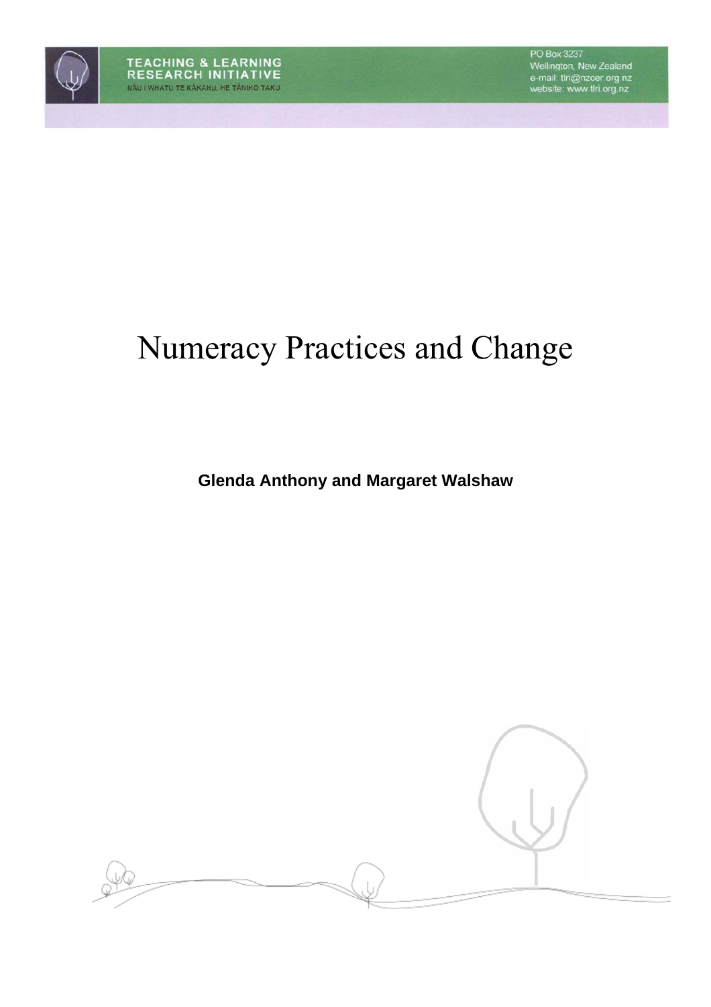# Numeracy Practices and Change

**Glenda Anthony and Margaret Walshaw** 

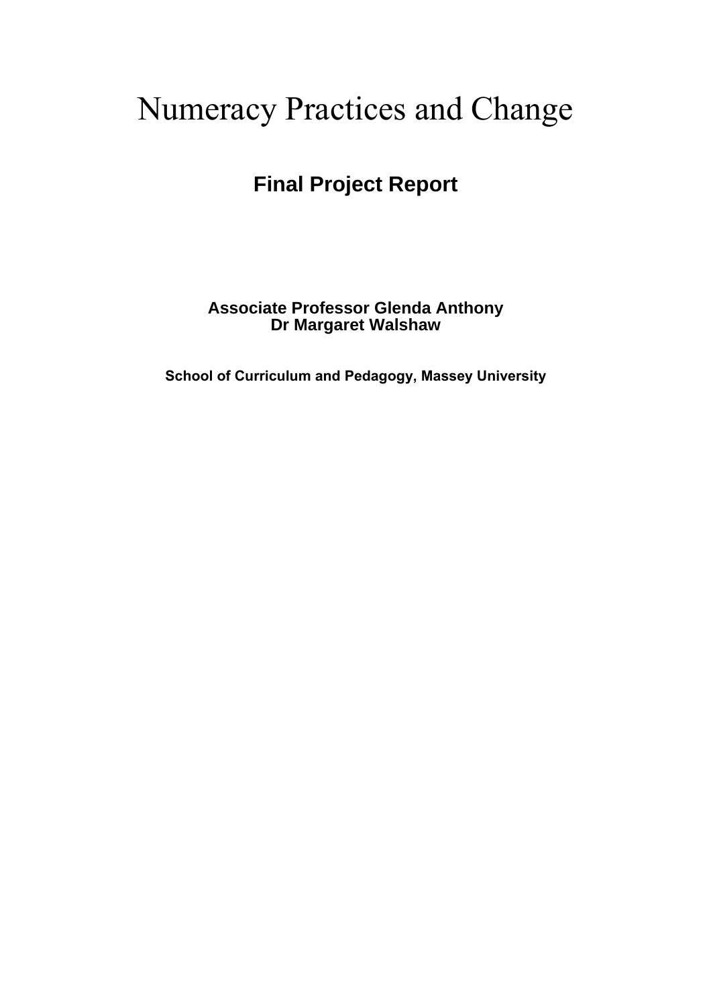# Numeracy Practices and Change

# **Final Project Report**

**Associate Professor Glenda Anthony Dr Margaret Walshaw** 

**School of Curriculum and Pedagogy, Massey University**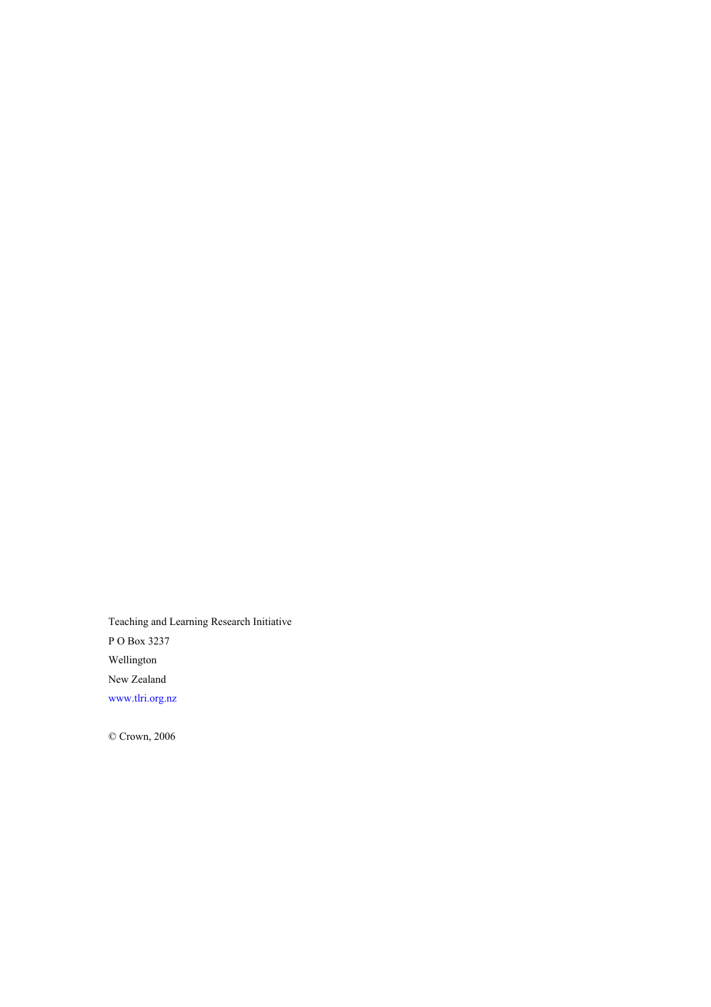Teaching and Learning Research Initiative P O Box 3237 Wellington New Zealand www.tlri.org.nz

© Crown, 2006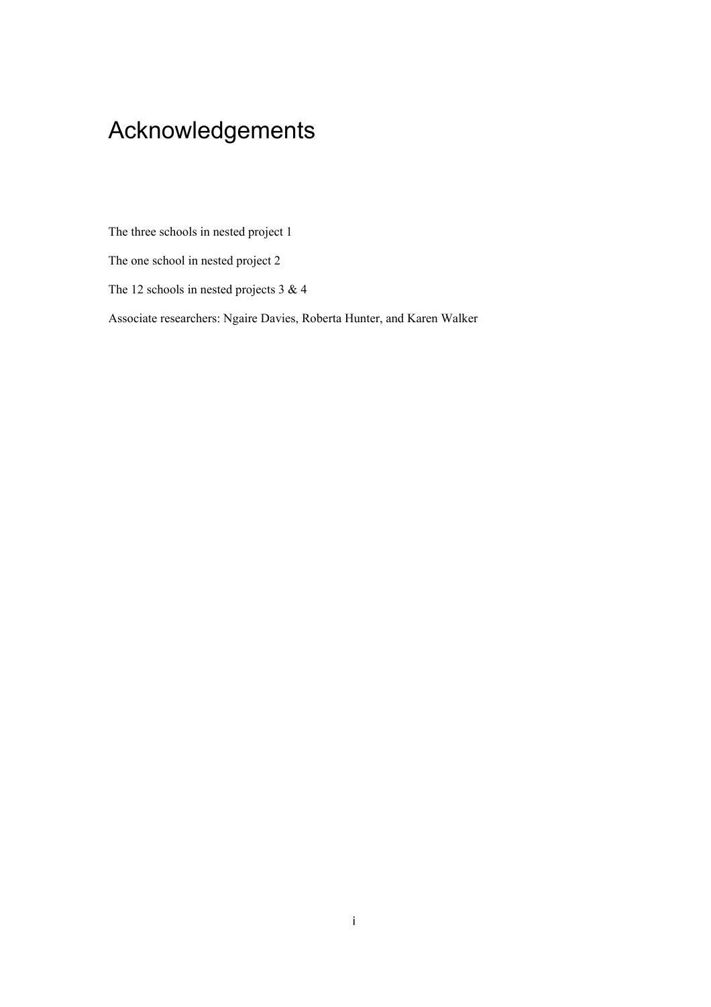# Acknowledgements

The three schools in nested project 1

The one school in nested project 2

The 12 schools in nested projects 3 & 4

Associate researchers: Ngaire Davies, Roberta Hunter, and Karen Walker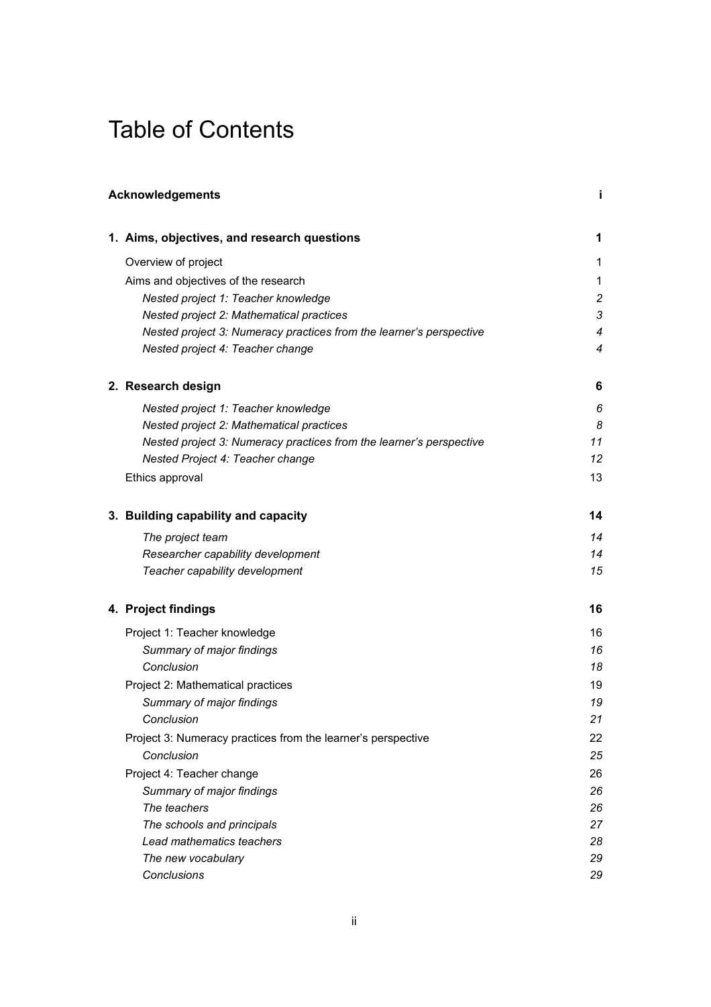# Table of Contents

| <b>Acknowledgements</b> |                                                                     |                |  |  |
|-------------------------|---------------------------------------------------------------------|----------------|--|--|
|                         | 1. Aims, objectives, and research questions                         | 1              |  |  |
|                         | Overview of project                                                 | 1              |  |  |
|                         | Aims and objectives of the research                                 | 1              |  |  |
|                         | Nested project 1: Teacher knowledge                                 | $\overline{c}$ |  |  |
|                         | Nested project 2: Mathematical practices                            | 3              |  |  |
|                         | Nested project 3: Numeracy practices from the learner's perspective | $\overline{4}$ |  |  |
|                         | Nested project 4: Teacher change                                    | 4              |  |  |
|                         | 2. Research design                                                  | 6              |  |  |
|                         | Nested project 1: Teacher knowledge                                 | 6              |  |  |
|                         | Nested project 2: Mathematical practices                            | 8              |  |  |
|                         | Nested project 3: Numeracy practices from the learner's perspective | 11             |  |  |
|                         | Nested Project 4: Teacher change                                    | 12             |  |  |
|                         | Ethics approval                                                     | 13             |  |  |
|                         | 3. Building capability and capacity                                 | 14             |  |  |
|                         | The project team                                                    | 14             |  |  |
|                         | Researcher capability development                                   | 14             |  |  |
|                         | Teacher capability development                                      | 15             |  |  |
|                         | 4. Project findings                                                 | 16             |  |  |
|                         | Project 1: Teacher knowledge                                        | 16             |  |  |
|                         | Summary of major findings                                           | 16             |  |  |
|                         | Conclusion                                                          | 18             |  |  |
|                         | Project 2: Mathematical practices                                   | 19             |  |  |
|                         | Summary of major findings                                           | 19             |  |  |
|                         | Conclusion                                                          | 21             |  |  |
|                         | Project 3: Numeracy practices from the learner's perspective        | 22             |  |  |
|                         | Conclusion                                                          | 25             |  |  |
|                         | Project 4: Teacher change                                           | 26             |  |  |
|                         | Summary of major findings                                           | 26             |  |  |
|                         | The teachers                                                        | 26             |  |  |
|                         | The schools and principals                                          | 27             |  |  |
|                         | Lead mathematics teachers                                           | 28             |  |  |
|                         | The new vocabulary                                                  | 29             |  |  |
|                         | Conclusions                                                         | 29             |  |  |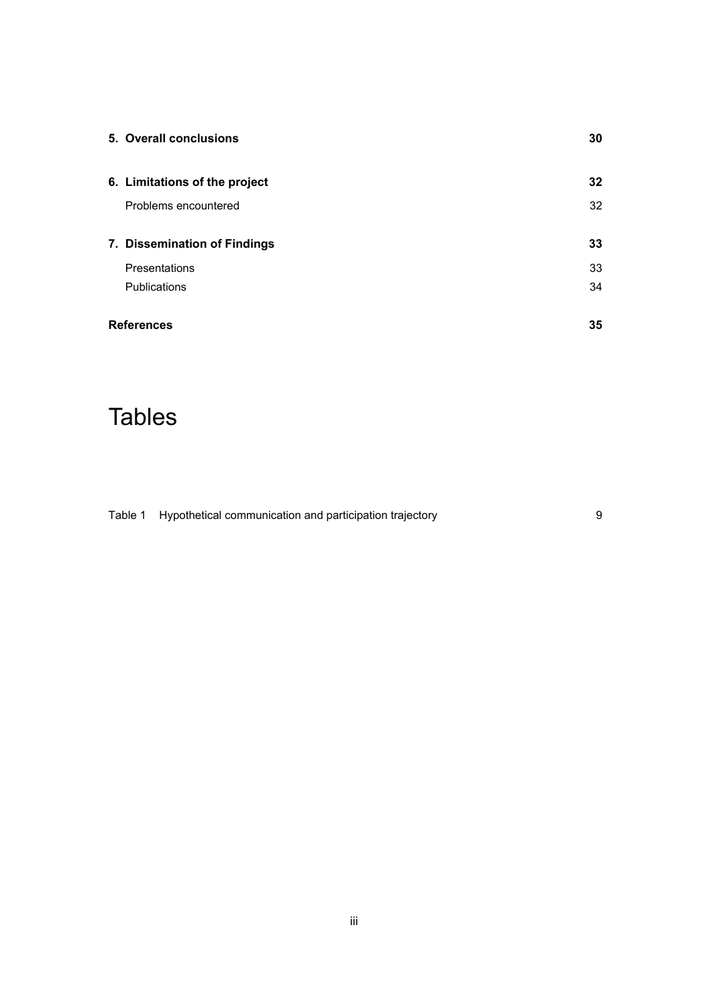| 5. Overall conclusions        | 30 |
|-------------------------------|----|
| 6. Limitations of the project | 32 |
| Problems encountered          | 32 |
| 7. Dissemination of Findings  | 33 |
| Presentations                 | 33 |
| Publications                  | 34 |
| <b>References</b>             | 35 |

# **Tables**

Table 1 Hypothetical communication and participation trajectory example to the system of 9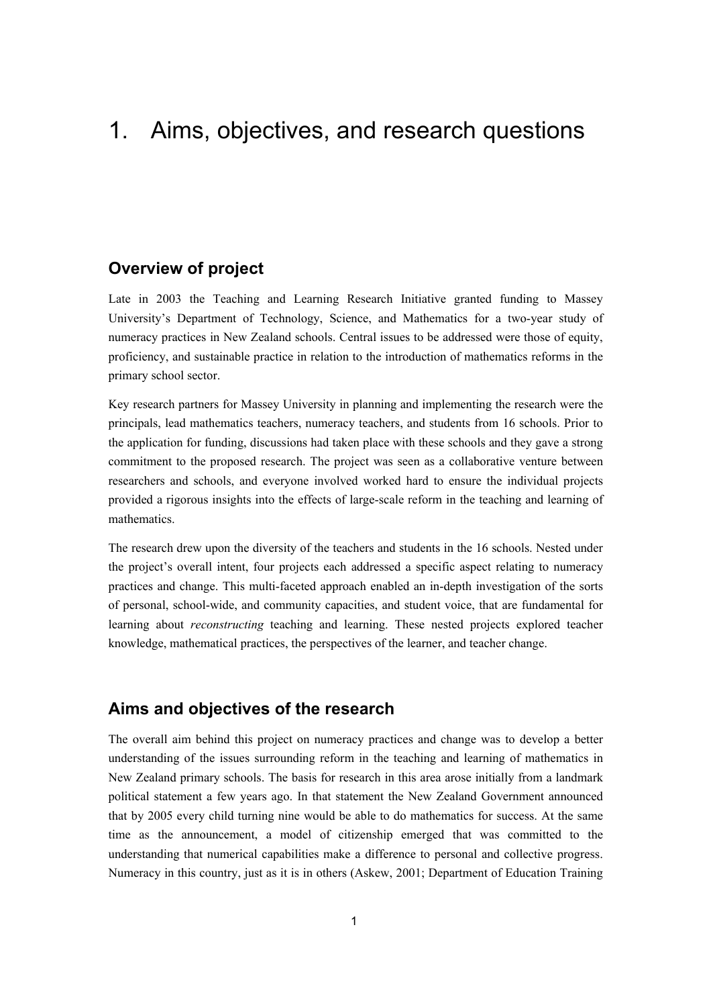# 1. Aims, objectives, and research questions

### **Overview of project**

Late in 2003 the Teaching and Learning Research Initiative granted funding to Massey University's Department of Technology, Science, and Mathematics for a two-year study of numeracy practices in New Zealand schools. Central issues to be addressed were those of equity, proficiency, and sustainable practice in relation to the introduction of mathematics reforms in the primary school sector.

Key research partners for Massey University in planning and implementing the research were the principals, lead mathematics teachers, numeracy teachers, and students from 16 schools. Prior to the application for funding, discussions had taken place with these schools and they gave a strong commitment to the proposed research. The project was seen as a collaborative venture between researchers and schools, and everyone involved worked hard to ensure the individual projects provided a rigorous insights into the effects of large-scale reform in the teaching and learning of mathematics.

The research drew upon the diversity of the teachers and students in the 16 schools. Nested under the project's overall intent, four projects each addressed a specific aspect relating to numeracy practices and change. This multi-faceted approach enabled an in-depth investigation of the sorts of personal, school-wide, and community capacities, and student voice, that are fundamental for learning about *reconstructing* teaching and learning. These nested projects explored teacher knowledge, mathematical practices, the perspectives of the learner, and teacher change.

### **Aims and objectives of the research**

The overall aim behind this project on numeracy practices and change was to develop a better understanding of the issues surrounding reform in the teaching and learning of mathematics in New Zealand primary schools. The basis for research in this area arose initially from a landmark political statement a few years ago. In that statement the New Zealand Government announced that by 2005 every child turning nine would be able to do mathematics for success. At the same time as the announcement, a model of citizenship emerged that was committed to the understanding that numerical capabilities make a difference to personal and collective progress. Numeracy in this country, just as it is in others (Askew, 2001; Department of Education Training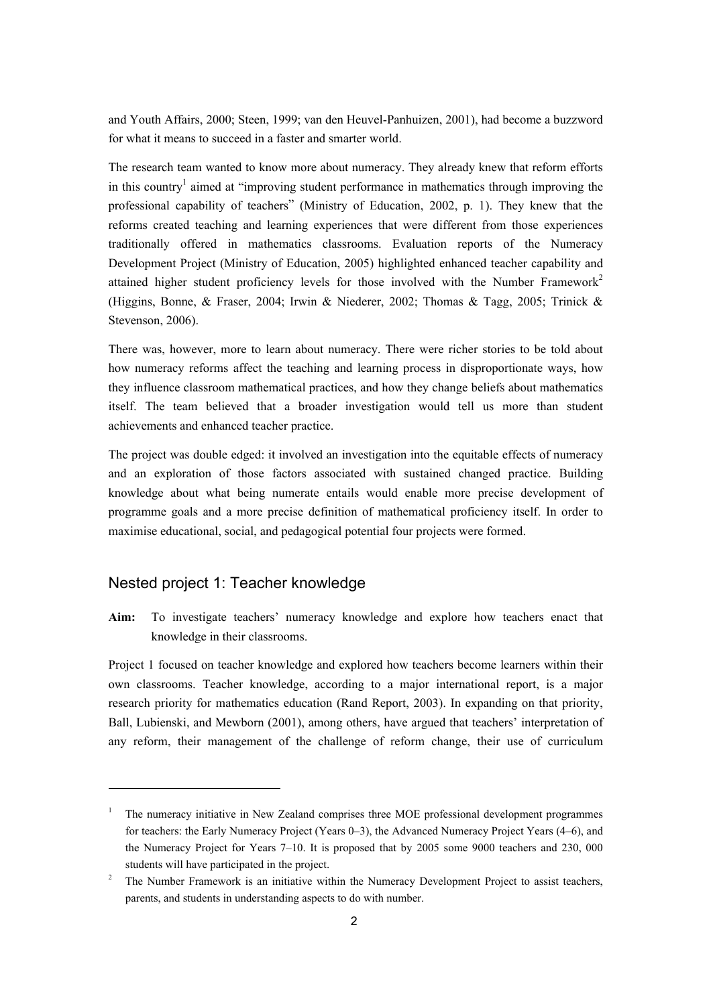and Youth Affairs, 2000; Steen, 1999; van den Heuvel-Panhuizen, 2001), had become a buzzword for what it means to succeed in a faster and smarter world.

The research team wanted to know more about numeracy. They already knew that reform efforts in this country<sup>1</sup> aimed at "improving student performance in mathematics through improving the professional capability of teachers" (Ministry of Education, 2002, p. 1). They knew that the reforms created teaching and learning experiences that were different from those experiences traditionally offered in mathematics classrooms. Evaluation reports of the Numeracy Development Project (Ministry of Education, 2005) highlighted enhanced teacher capability and attained higher student proficiency levels for those involved with the Number Framework<sup>2</sup> (Higgins, Bonne, & Fraser, 2004; Irwin & Niederer, 2002; Thomas & Tagg, 2005; Trinick & Stevenson, 2006).

There was, however, more to learn about numeracy. There were richer stories to be told about how numeracy reforms affect the teaching and learning process in disproportionate ways, how they influence classroom mathematical practices, and how they change beliefs about mathematics itself. The team believed that a broader investigation would tell us more than student achievements and enhanced teacher practice.

The project was double edged: it involved an investigation into the equitable effects of numeracy and an exploration of those factors associated with sustained changed practice. Building knowledge about what being numerate entails would enable more precise development of programme goals and a more precise definition of mathematical proficiency itself. In order to maximise educational, social, and pedagogical potential four projects were formed.

### Nested project 1: Teacher knowledge

<u>.</u>

**Aim:** To investigate teachers' numeracy knowledge and explore how teachers enact that knowledge in their classrooms.

Project 1 focused on teacher knowledge and explored how teachers become learners within their own classrooms. Teacher knowledge, according to a major international report, is a major research priority for mathematics education (Rand Report, 2003). In expanding on that priority, Ball, Lubienski, and Mewborn (2001), among others, have argued that teachers' interpretation of any reform, their management of the challenge of reform change, their use of curriculum

<sup>&</sup>lt;sup>1</sup> The numeracy initiative in New Zealand comprises three MOE professional development programmes for teachers: the Early Numeracy Project (Years 0–3), the Advanced Numeracy Project Years (4–6), and the Numeracy Project for Years 7–10. It is proposed that by 2005 some 9000 teachers and 230, 000 students will have participated in the project.

<sup>&</sup>lt;sup>2</sup> The Number Framework is an initiative within the Numeracy Development Project to assist teachers, parents, and students in understanding aspects to do with number.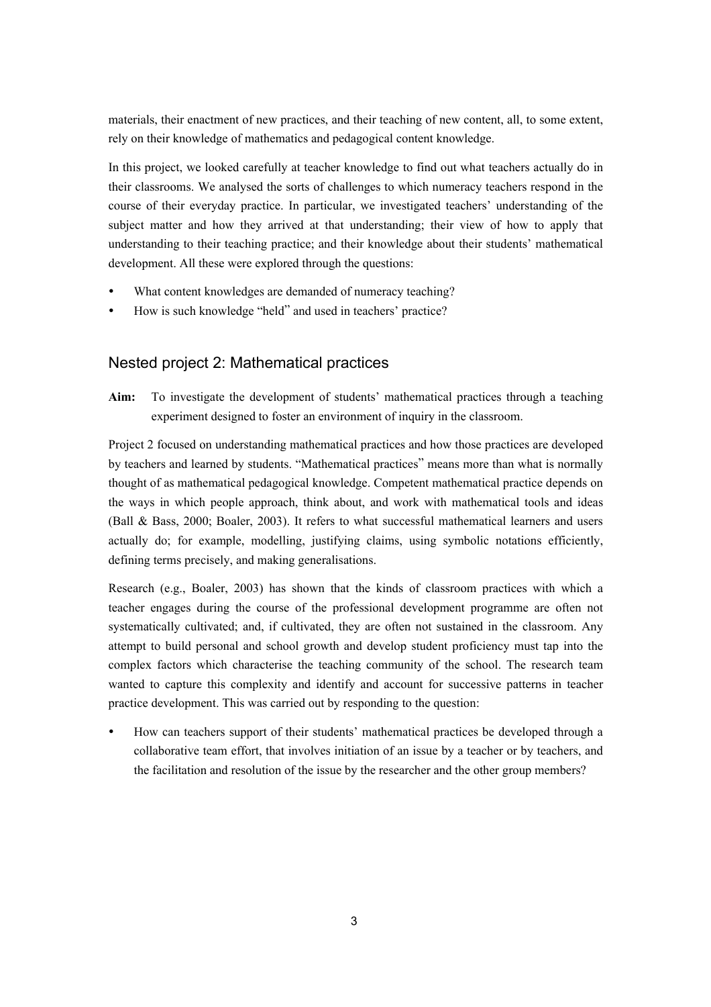materials, their enactment of new practices, and their teaching of new content, all, to some extent, rely on their knowledge of mathematics and pedagogical content knowledge.

In this project, we looked carefully at teacher knowledge to find out what teachers actually do in their classrooms. We analysed the sorts of challenges to which numeracy teachers respond in the course of their everyday practice. In particular, we investigated teachers' understanding of the subject matter and how they arrived at that understanding; their view of how to apply that understanding to their teaching practice; and their knowledge about their students' mathematical development. All these were explored through the questions:

- What content knowledges are demanded of numeracy teaching?
- How is such knowledge "held" and used in teachers' practice?

### Nested project 2: Mathematical practices

**Aim:** To investigate the development of students' mathematical practices through a teaching experiment designed to foster an environment of inquiry in the classroom.

Project 2 focused on understanding mathematical practices and how those practices are developed by teachers and learned by students. "Mathematical practices" means more than what is normally thought of as mathematical pedagogical knowledge. Competent mathematical practice depends on the ways in which people approach, think about, and work with mathematical tools and ideas (Ball & Bass, 2000; Boaler, 2003). It refers to what successful mathematical learners and users actually do; for example, modelling, justifying claims, using symbolic notations efficiently, defining terms precisely, and making generalisations.

Research (e.g., Boaler, 2003) has shown that the kinds of classroom practices with which a teacher engages during the course of the professional development programme are often not systematically cultivated; and, if cultivated, they are often not sustained in the classroom. Any attempt to build personal and school growth and develop student proficiency must tap into the complex factors which characterise the teaching community of the school. The research team wanted to capture this complexity and identify and account for successive patterns in teacher practice development. This was carried out by responding to the question:

How can teachers support of their students' mathematical practices be developed through a collaborative team effort, that involves initiation of an issue by a teacher or by teachers, and the facilitation and resolution of the issue by the researcher and the other group members?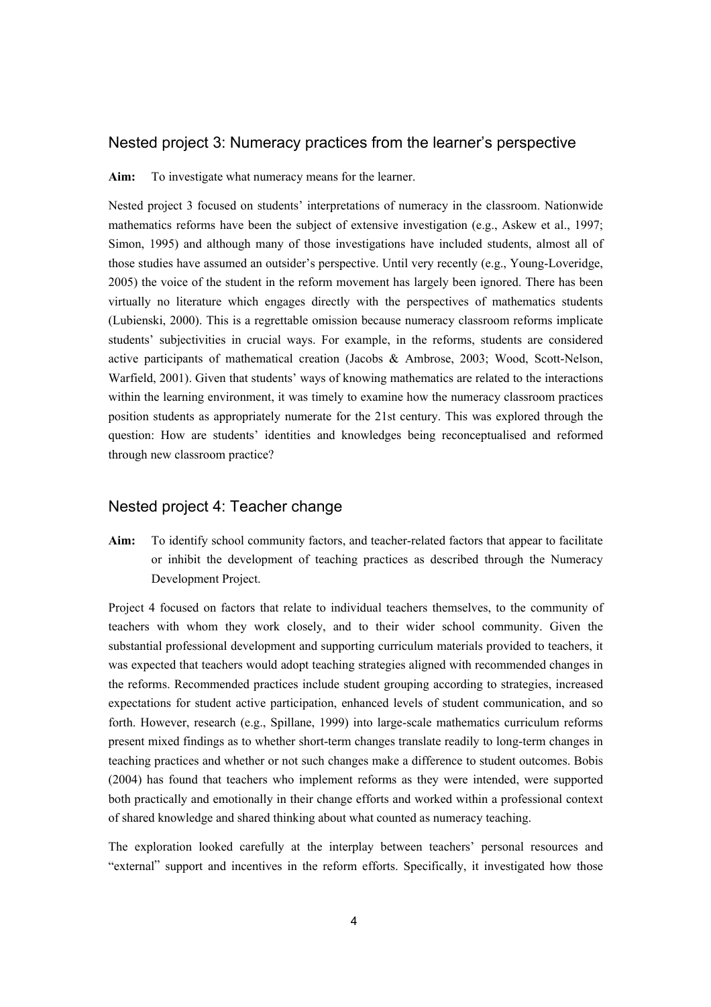#### Nested project 3: Numeracy practices from the learner's perspective

**Aim:** To investigate what numeracy means for the learner.

Nested project 3 focused on students' interpretations of numeracy in the classroom. Nationwide mathematics reforms have been the subject of extensive investigation (e.g., Askew et al., 1997; Simon, 1995) and although many of those investigations have included students, almost all of those studies have assumed an outsider's perspective. Until very recently (e.g., Young-Loveridge, 2005) the voice of the student in the reform movement has largely been ignored. There has been virtually no literature which engages directly with the perspectives of mathematics students (Lubienski, 2000). This is a regrettable omission because numeracy classroom reforms implicate students' subjectivities in crucial ways. For example, in the reforms, students are considered active participants of mathematical creation (Jacobs & Ambrose, 2003; Wood, Scott-Nelson, Warfield, 2001). Given that students' ways of knowing mathematics are related to the interactions within the learning environment, it was timely to examine how the numeracy classroom practices position students as appropriately numerate for the 21st century. This was explored through the question: How are students' identities and knowledges being reconceptualised and reformed through new classroom practice?

### Nested project 4: Teacher change

**Aim:** To identify school community factors, and teacher-related factors that appear to facilitate or inhibit the development of teaching practices as described through the Numeracy Development Project.

Project 4 focused on factors that relate to individual teachers themselves, to the community of teachers with whom they work closely, and to their wider school community. Given the substantial professional development and supporting curriculum materials provided to teachers, it was expected that teachers would adopt teaching strategies aligned with recommended changes in the reforms. Recommended practices include student grouping according to strategies, increased expectations for student active participation, enhanced levels of student communication, and so forth. However, research (e.g., Spillane, 1999) into large-scale mathematics curriculum reforms present mixed findings as to whether short-term changes translate readily to long-term changes in teaching practices and whether or not such changes make a difference to student outcomes. Bobis (2004) has found that teachers who implement reforms as they were intended, were supported both practically and emotionally in their change efforts and worked within a professional context of shared knowledge and shared thinking about what counted as numeracy teaching.

The exploration looked carefully at the interplay between teachers' personal resources and "external" support and incentives in the reform efforts. Specifically, it investigated how those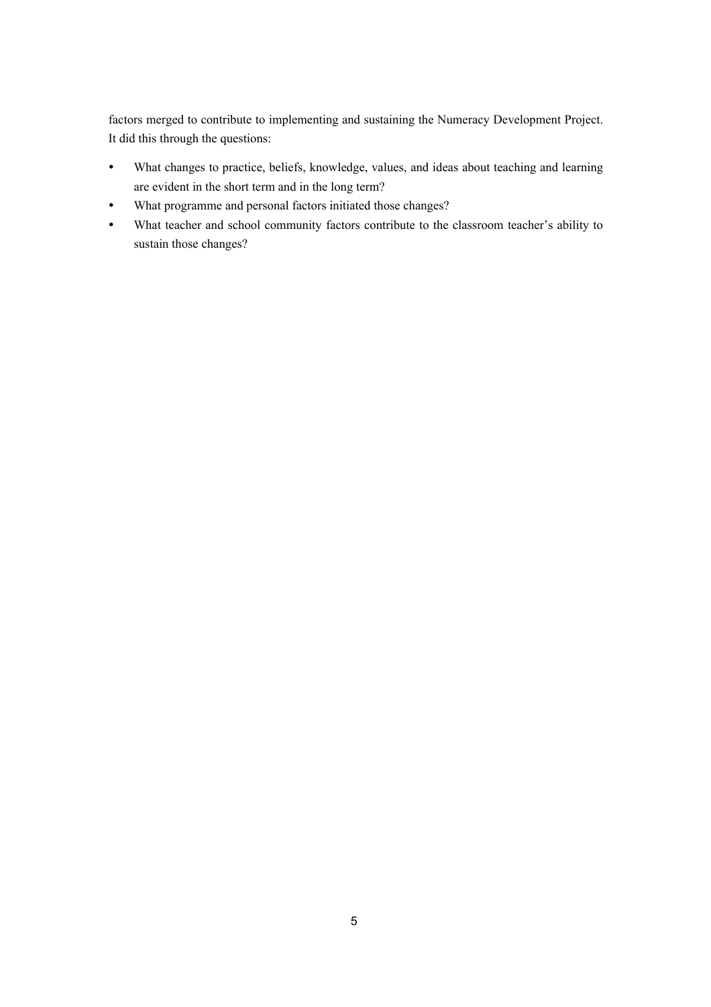factors merged to contribute to implementing and sustaining the Numeracy Development Project. It did this through the questions:

- y What changes to practice, beliefs, knowledge, values, and ideas about teaching and learning are evident in the short term and in the long term?
- What programme and personal factors initiated those changes?
- What teacher and school community factors contribute to the classroom teacher's ability to sustain those changes?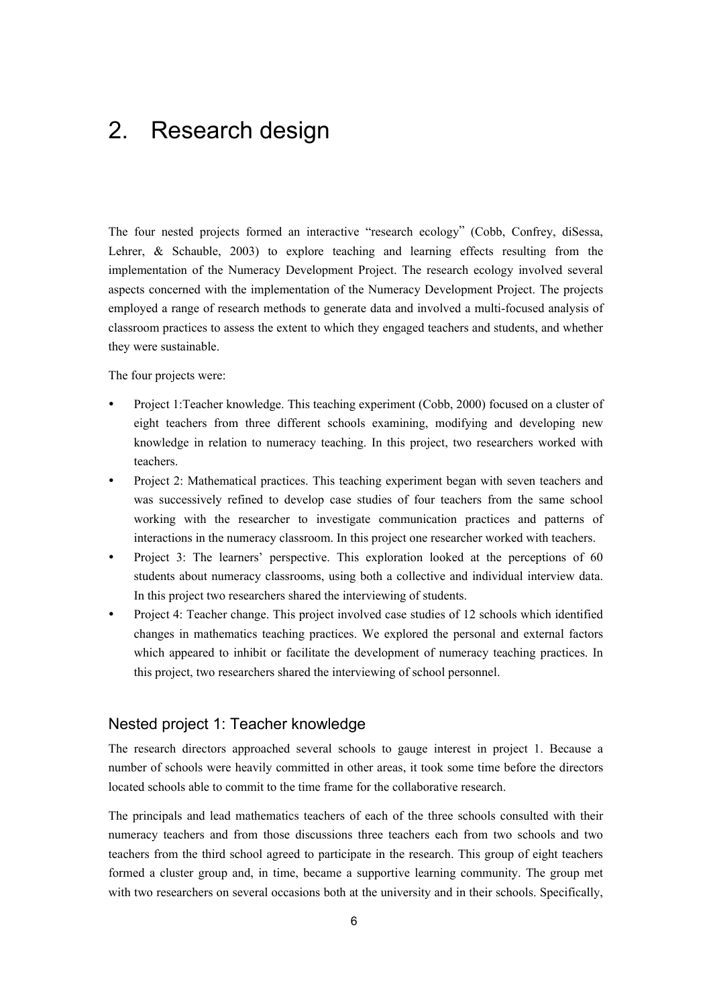# 2. Research design

The four nested projects formed an interactive "research ecology" (Cobb, Confrey, diSessa, Lehrer, & Schauble, 2003) to explore teaching and learning effects resulting from the implementation of the Numeracy Development Project. The research ecology involved several aspects concerned with the implementation of the Numeracy Development Project. The projects employed a range of research methods to generate data and involved a multi-focused analysis of classroom practices to assess the extent to which they engaged teachers and students, and whether they were sustainable.

The four projects were:

- Project 1:Teacher knowledge. This teaching experiment (Cobb, 2000) focused on a cluster of eight teachers from three different schools examining, modifying and developing new knowledge in relation to numeracy teaching. In this project, two researchers worked with teachers.
- Project 2: Mathematical practices. This teaching experiment began with seven teachers and was successively refined to develop case studies of four teachers from the same school working with the researcher to investigate communication practices and patterns of interactions in the numeracy classroom. In this project one researcher worked with teachers.
- Project 3: The learners' perspective. This exploration looked at the perceptions of 60 students about numeracy classrooms, using both a collective and individual interview data. In this project two researchers shared the interviewing of students.
- Project 4: Teacher change. This project involved case studies of 12 schools which identified changes in mathematics teaching practices. We explored the personal and external factors which appeared to inhibit or facilitate the development of numeracy teaching practices. In this project, two researchers shared the interviewing of school personnel.

### Nested project 1: Teacher knowledge

The research directors approached several schools to gauge interest in project 1. Because a number of schools were heavily committed in other areas, it took some time before the directors located schools able to commit to the time frame for the collaborative research.

The principals and lead mathematics teachers of each of the three schools consulted with their numeracy teachers and from those discussions three teachers each from two schools and two teachers from the third school agreed to participate in the research. This group of eight teachers formed a cluster group and, in time, became a supportive learning community. The group met with two researchers on several occasions both at the university and in their schools. Specifically,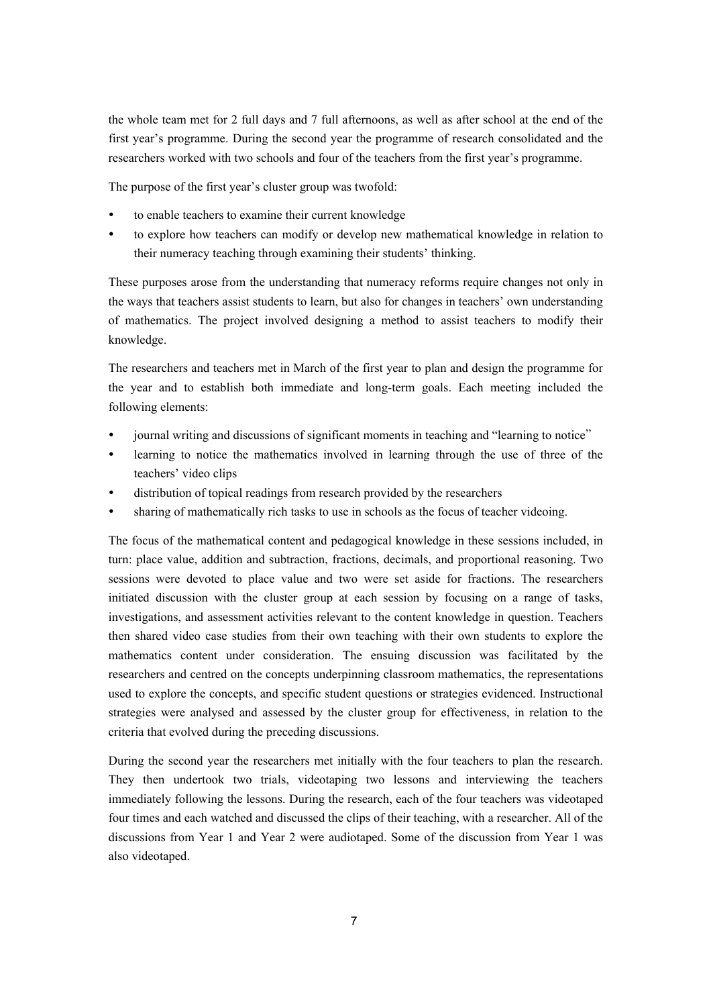the whole team met for 2 full days and 7 full afternoons, as well as after school at the end of the first year's programme. During the second year the programme of research consolidated and the researchers worked with two schools and four of the teachers from the first year's programme.

The purpose of the first year's cluster group was twofold:

- to enable teachers to examine their current knowledge
- to explore how teachers can modify or develop new mathematical knowledge in relation to their numeracy teaching through examining their students' thinking.

These purposes arose from the understanding that numeracy reforms require changes not only in the ways that teachers assist students to learn, but also for changes in teachers' own understanding of mathematics. The project involved designing a method to assist teachers to modify their knowledge.

The researchers and teachers met in March of the first year to plan and design the programme for the year and to establish both immediate and long-term goals. Each meeting included the following elements:

- journal writing and discussions of significant moments in teaching and "learning to notice"
- learning to notice the mathematics involved in learning through the use of three of the teachers' video clips
- distribution of topical readings from research provided by the researchers
- sharing of mathematically rich tasks to use in schools as the focus of teacher videoing.

The focus of the mathematical content and pedagogical knowledge in these sessions included, in turn: place value, addition and subtraction, fractions, decimals, and proportional reasoning. Two sessions were devoted to place value and two were set aside for fractions. The researchers initiated discussion with the cluster group at each session by focusing on a range of tasks, investigations, and assessment activities relevant to the content knowledge in question. Teachers then shared video case studies from their own teaching with their own students to explore the mathematics content under consideration. The ensuing discussion was facilitated by the researchers and centred on the concepts underpinning classroom mathematics, the representations used to explore the concepts, and specific student questions or strategies evidenced. Instructional strategies were analysed and assessed by the cluster group for effectiveness, in relation to the criteria that evolved during the preceding discussions.

During the second year the researchers met initially with the four teachers to plan the research. They then undertook two trials, videotaping two lessons and interviewing the teachers immediately following the lessons. During the research, each of the four teachers was videotaped four times and each watched and discussed the clips of their teaching, with a researcher. All of the discussions from Year 1 and Year 2 were audiotaped. Some of the discussion from Year 1 was also videotaped.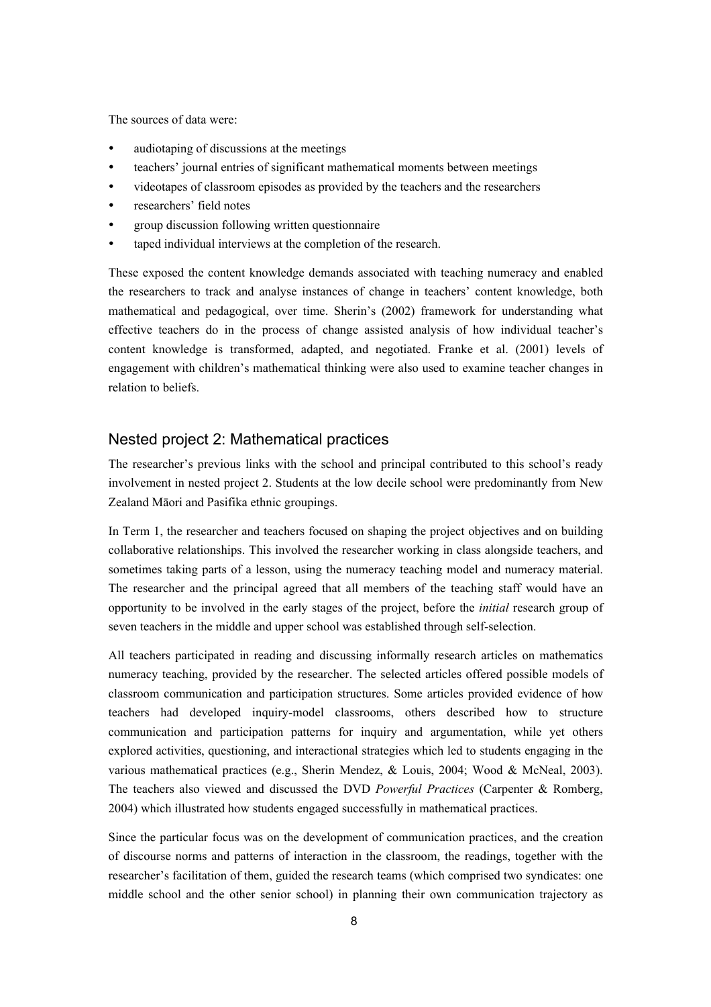The sources of data were:

- audiotaping of discussions at the meetings
- teachers' journal entries of significant mathematical moments between meetings
- y videotapes of classroom episodes as provided by the teachers and the researchers
- researchers' field notes
- y group discussion following written questionnaire
- taped individual interviews at the completion of the research.

These exposed the content knowledge demands associated with teaching numeracy and enabled the researchers to track and analyse instances of change in teachers' content knowledge, both mathematical and pedagogical, over time. Sherin's (2002) framework for understanding what effective teachers do in the process of change assisted analysis of how individual teacher's content knowledge is transformed, adapted, and negotiated. Franke et al. (2001) levels of engagement with children's mathematical thinking were also used to examine teacher changes in relation to beliefs.

#### Nested project 2: Mathematical practices

The researcher's previous links with the school and principal contributed to this school's ready involvement in nested project 2. Students at the low decile school were predominantly from New Zealand Māori and Pasifika ethnic groupings.

In Term 1, the researcher and teachers focused on shaping the project objectives and on building collaborative relationships. This involved the researcher working in class alongside teachers, and sometimes taking parts of a lesson, using the numeracy teaching model and numeracy material. The researcher and the principal agreed that all members of the teaching staff would have an opportunity to be involved in the early stages of the project, before the *initial* research group of seven teachers in the middle and upper school was established through self-selection.

All teachers participated in reading and discussing informally research articles on mathematics numeracy teaching, provided by the researcher. The selected articles offered possible models of classroom communication and participation structures. Some articles provided evidence of how teachers had developed inquiry-model classrooms, others described how to structure communication and participation patterns for inquiry and argumentation, while yet others explored activities, questioning, and interactional strategies which led to students engaging in the various mathematical practices (e.g., Sherin Mendez, & Louis, 2004; Wood & McNeal, 2003). The teachers also viewed and discussed the DVD *Powerful Practices* (Carpenter & Romberg, 2004) which illustrated how students engaged successfully in mathematical practices.

Since the particular focus was on the development of communication practices, and the creation of discourse norms and patterns of interaction in the classroom, the readings, together with the researcher's facilitation of them, guided the research teams (which comprised two syndicates: one middle school and the other senior school) in planning their own communication trajectory as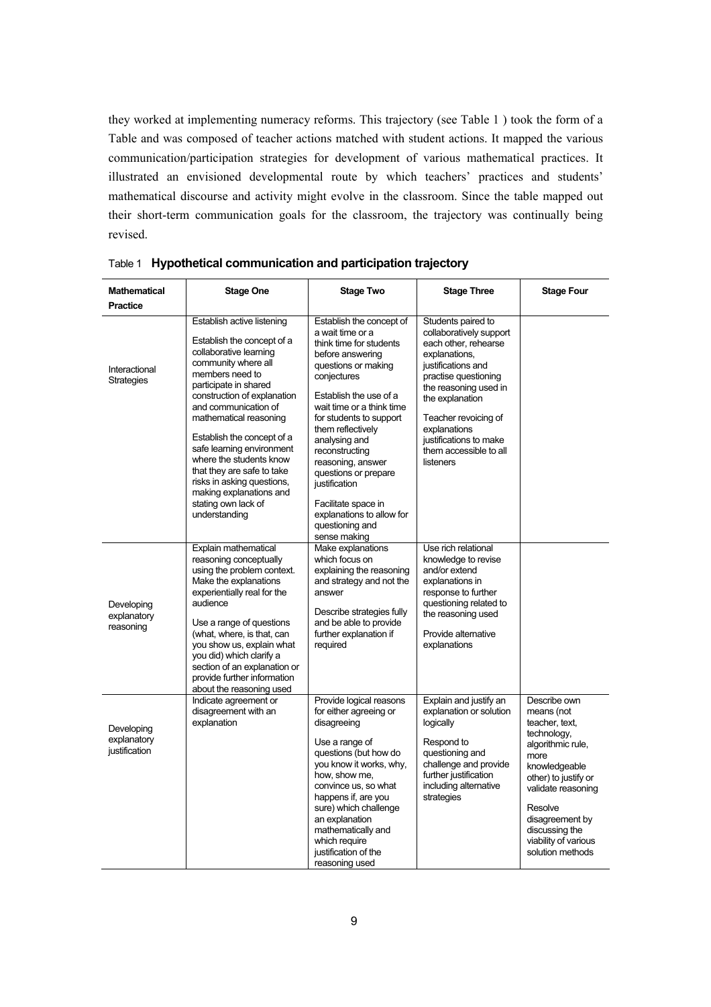they worked at implementing numeracy reforms. This trajectory (see Table 1 ) took the form of a Table and was composed of teacher actions matched with student actions. It mapped the various communication/participation strategies for development of various mathematical practices. It illustrated an envisioned developmental route by which teachers' practices and students' mathematical discourse and activity might evolve in the classroom. Since the table mapped out their short-term communication goals for the classroom, the trajectory was continually being revised.

| <b>Mathematical</b><br><b>Practice</b>     | <b>Stage One</b>                                                                                                                                                                                                                                                                                                                                                                                                                                            | <b>Stage Two</b>                                                                                                                                                                                                                                                                                                                                                                                                                 | <b>Stage Three</b>                                                                                                                                                                                                                                                                        | <b>Stage Four</b>                                                                                                                                                                                                                                   |
|--------------------------------------------|-------------------------------------------------------------------------------------------------------------------------------------------------------------------------------------------------------------------------------------------------------------------------------------------------------------------------------------------------------------------------------------------------------------------------------------------------------------|----------------------------------------------------------------------------------------------------------------------------------------------------------------------------------------------------------------------------------------------------------------------------------------------------------------------------------------------------------------------------------------------------------------------------------|-------------------------------------------------------------------------------------------------------------------------------------------------------------------------------------------------------------------------------------------------------------------------------------------|-----------------------------------------------------------------------------------------------------------------------------------------------------------------------------------------------------------------------------------------------------|
| Interactional<br><b>Strategies</b>         | Establish active listening<br>Establish the concept of a<br>collaborative learning<br>community where all<br>members need to<br>participate in shared<br>construction of explanation<br>and communication of<br>mathematical reasoning<br>Establish the concept of a<br>safe learning environment<br>where the students know<br>that they are safe to take<br>risks in asking questions,<br>making explanations and<br>stating own lack of<br>understanding | Establish the concept of<br>a wait time or a<br>think time for students<br>before answering<br>questions or making<br>conjectures<br>Establish the use of a<br>wait time or a think time<br>for students to support<br>them reflectively<br>analysing and<br>reconstructing<br>reasoning, answer<br>questions or prepare<br>justification<br>Facilitate space in<br>explanations to allow for<br>questioning and<br>sense making | Students paired to<br>collaboratively support<br>each other, rehearse<br>explanations,<br>justifications and<br>practise questioning<br>the reasoning used in<br>the explanation<br>Teacher revoicing of<br>explanations<br>justifications to make<br>them accessible to all<br>listeners |                                                                                                                                                                                                                                                     |
| Developing<br>explanatory<br>reasoning     | Explain mathematical<br>reasoning conceptually<br>using the problem context.<br>Make the explanations<br>experientially real for the<br>audience<br>Use a range of questions<br>(what, where, is that, can<br>you show us, explain what<br>you did) which clarify a<br>section of an explanation or<br>provide further information<br>about the reasoning used                                                                                              | Make explanations<br>which focus on<br>explaining the reasoning<br>and strategy and not the<br>answer<br>Describe strategies fully<br>and be able to provide<br>further explanation if<br>required                                                                                                                                                                                                                               | Use rich relational<br>knowledge to revise<br>and/or extend<br>explanations in<br>response to further<br>questioning related to<br>the reasoning used<br>Provide alternative<br>explanations                                                                                              |                                                                                                                                                                                                                                                     |
| Developing<br>explanatory<br>justification | Indicate agreement or<br>disagreement with an<br>explanation                                                                                                                                                                                                                                                                                                                                                                                                | Provide logical reasons<br>for either agreeing or<br>disagreeing<br>Use a range of<br>questions (but how do<br>you know it works, why,<br>how, show me,<br>convince us, so what<br>happens if, are you<br>sure) which challenge<br>an explanation<br>mathematically and<br>which require<br>justification of the<br>reasoning used                                                                                               | Explain and justify an<br>explanation or solution<br>logically<br>Respond to<br>questioning and<br>challenge and provide<br>further justification<br>including alternative<br>strategies                                                                                                  | Describe own<br>means (not<br>teacher, text,<br>technology,<br>algorithmic rule,<br>more<br>knowledgeable<br>other) to justify or<br>validate reasoning<br>Resolve<br>disagreement by<br>discussing the<br>viability of various<br>solution methods |

Table 1 **Hypothetical communication and participation trajectory**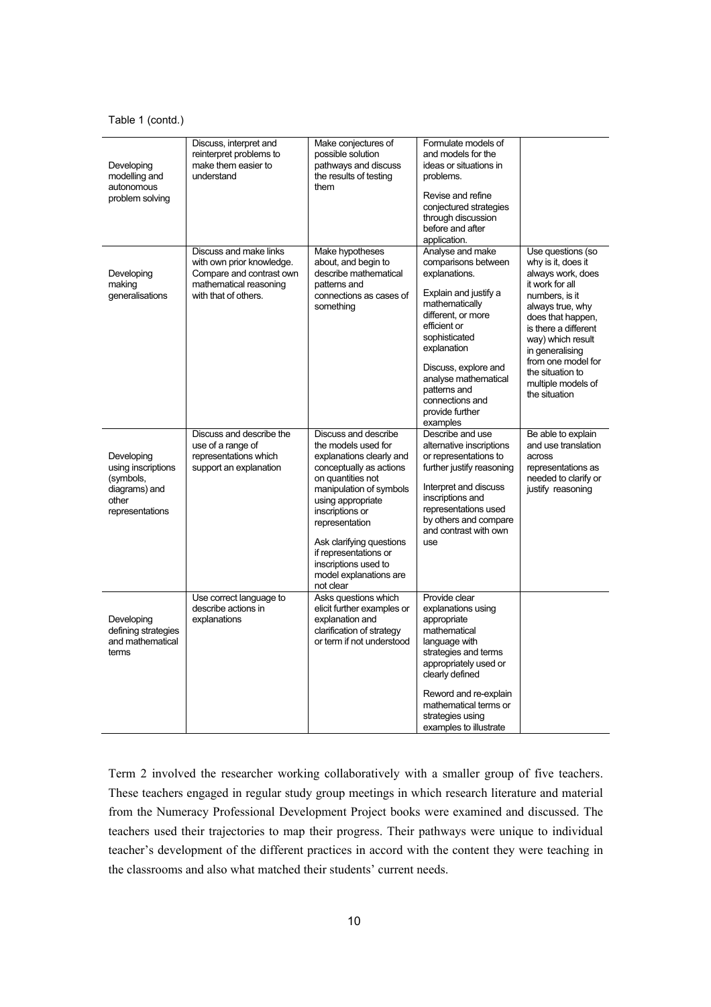#### Table 1 (contd.)

| Developing<br>modelling and<br>autonomous<br>problem solving                               | Discuss, interpret and<br>reinterpret problems to<br>make them easier to<br>understand                                            | Make conjectures of<br>possible solution<br>pathways and discuss<br>the results of testing<br>them                                                                                                                                                                                                                               | Formulate models of<br>and models for the<br>ideas or situations in<br>problems.<br>Revise and refine<br>conjectured strategies<br>through discussion<br>before and after<br>application.                                                                                                   |                                                                                                                                                                                                                                                                                             |
|--------------------------------------------------------------------------------------------|-----------------------------------------------------------------------------------------------------------------------------------|----------------------------------------------------------------------------------------------------------------------------------------------------------------------------------------------------------------------------------------------------------------------------------------------------------------------------------|---------------------------------------------------------------------------------------------------------------------------------------------------------------------------------------------------------------------------------------------------------------------------------------------|---------------------------------------------------------------------------------------------------------------------------------------------------------------------------------------------------------------------------------------------------------------------------------------------|
| Developing<br>making<br>generalisations                                                    | Discuss and make links<br>with own prior knowledge.<br>Compare and contrast own<br>mathematical reasoning<br>with that of others. | Make hypotheses<br>about, and begin to<br>describe mathematical<br>patterns and<br>connections as cases of<br>something                                                                                                                                                                                                          | Analyse and make<br>comparisons between<br>explanations.<br>Explain and justify a<br>mathematically<br>different, or more<br>efficient or<br>sophisticated<br>explanation<br>Discuss, explore and<br>analyse mathematical<br>patterns and<br>connections and<br>provide further<br>examples | Use questions (so<br>why is it, does it<br>always work, does<br>it work for all<br>numbers, is it<br>always true, why<br>does that happen,<br>is there a different<br>way) which result<br>in generalising<br>from one model for<br>the situation to<br>multiple models of<br>the situation |
| Developing<br>using inscriptions<br>(symbols,<br>diagrams) and<br>other<br>representations | Discuss and describe the<br>use of a range of<br>representations which<br>support an explanation                                  | Discuss and describe<br>the models used for<br>explanations clearly and<br>conceptually as actions<br>on quantities not<br>manipulation of symbols<br>using appropriate<br>inscriptions or<br>representation<br>Ask clarifying questions<br>if representations or<br>inscriptions used to<br>model explanations are<br>not clear | Describe and use<br>alternative inscriptions<br>or representations to<br>further justify reasoning<br>Interpret and discuss<br>inscriptions and<br>representations used<br>by others and compare<br>and contrast with own<br>use                                                            | Be able to explain<br>and use translation<br>across<br>representations as<br>needed to clarify or<br>justify reasoning                                                                                                                                                                      |
| Developing<br>defining strategies<br>and mathematical<br>terms                             | Use correct language to<br>describe actions in<br>explanations                                                                    | Asks questions which<br>elicit further examples or<br>explanation and<br>clarification of strategy<br>or term if not understood                                                                                                                                                                                                  | Provide clear<br>explanations using<br>appropriate<br>mathematical<br>language with<br>strategies and terms<br>appropriately used or<br>clearly defined<br>Reword and re-explain<br>mathematical terms or<br>strategies using<br>examples to illustrate                                     |                                                                                                                                                                                                                                                                                             |

Term 2 involved the researcher working collaboratively with a smaller group of five teachers. These teachers engaged in regular study group meetings in which research literature and material from the Numeracy Professional Development Project books were examined and discussed. The teachers used their trajectories to map their progress. Their pathways were unique to individual teacher's development of the different practices in accord with the content they were teaching in the classrooms and also what matched their students' current needs.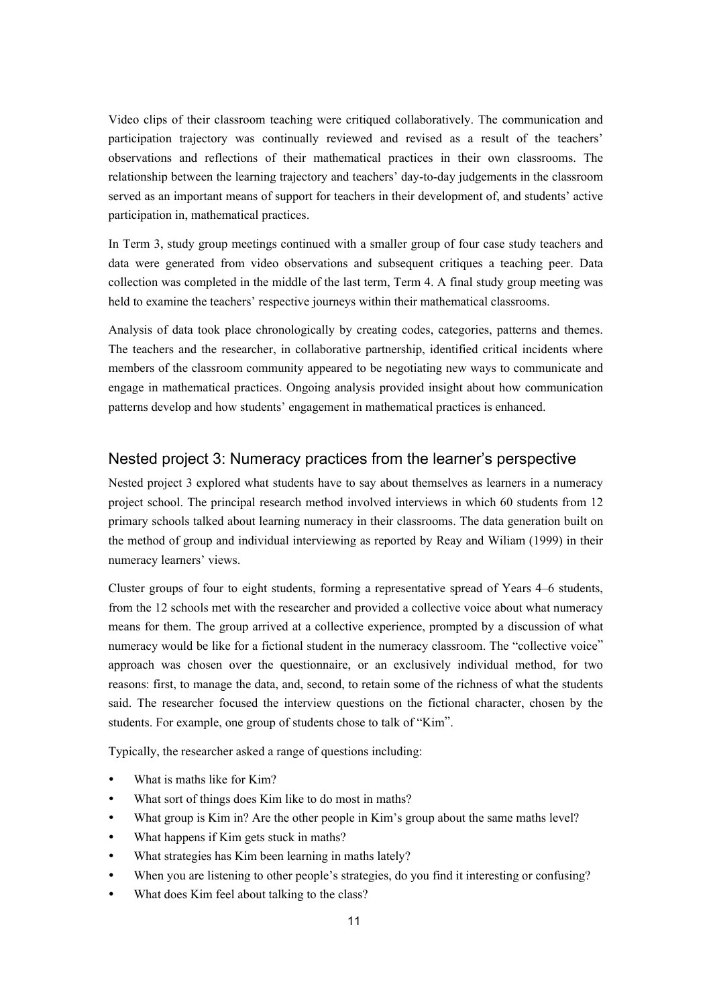Video clips of their classroom teaching were critiqued collaboratively. The communication and participation trajectory was continually reviewed and revised as a result of the teachers' observations and reflections of their mathematical practices in their own classrooms. The relationship between the learning trajectory and teachers' day-to-day judgements in the classroom served as an important means of support for teachers in their development of, and students' active participation in, mathematical practices.

In Term 3, study group meetings continued with a smaller group of four case study teachers and data were generated from video observations and subsequent critiques a teaching peer. Data collection was completed in the middle of the last term, Term 4. A final study group meeting was held to examine the teachers' respective journeys within their mathematical classrooms.

Analysis of data took place chronologically by creating codes, categories, patterns and themes. The teachers and the researcher, in collaborative partnership, identified critical incidents where members of the classroom community appeared to be negotiating new ways to communicate and engage in mathematical practices. Ongoing analysis provided insight about how communication patterns develop and how students' engagement in mathematical practices is enhanced.

### Nested project 3: Numeracy practices from the learner's perspective

Nested project 3 explored what students have to say about themselves as learners in a numeracy project school. The principal research method involved interviews in which 60 students from 12 primary schools talked about learning numeracy in their classrooms. The data generation built on the method of group and individual interviewing as reported by Reay and Wiliam (1999) in their numeracy learners' views.

Cluster groups of four to eight students, forming a representative spread of Years 4–6 students, from the 12 schools met with the researcher and provided a collective voice about what numeracy means for them. The group arrived at a collective experience, prompted by a discussion of what numeracy would be like for a fictional student in the numeracy classroom. The "collective voice" approach was chosen over the questionnaire, or an exclusively individual method, for two reasons: first, to manage the data, and, second, to retain some of the richness of what the students said. The researcher focused the interview questions on the fictional character, chosen by the students. For example, one group of students chose to talk of "Kim".

Typically, the researcher asked a range of questions including:

- What is maths like for Kim?
- What sort of things does Kim like to do most in maths?
- What group is Kim in? Are the other people in Kim's group about the same maths level?
- What happens if Kim gets stuck in maths?
- What strategies has Kim been learning in maths lately?
- When you are listening to other people's strategies, do you find it interesting or confusing?
- What does Kim feel about talking to the class?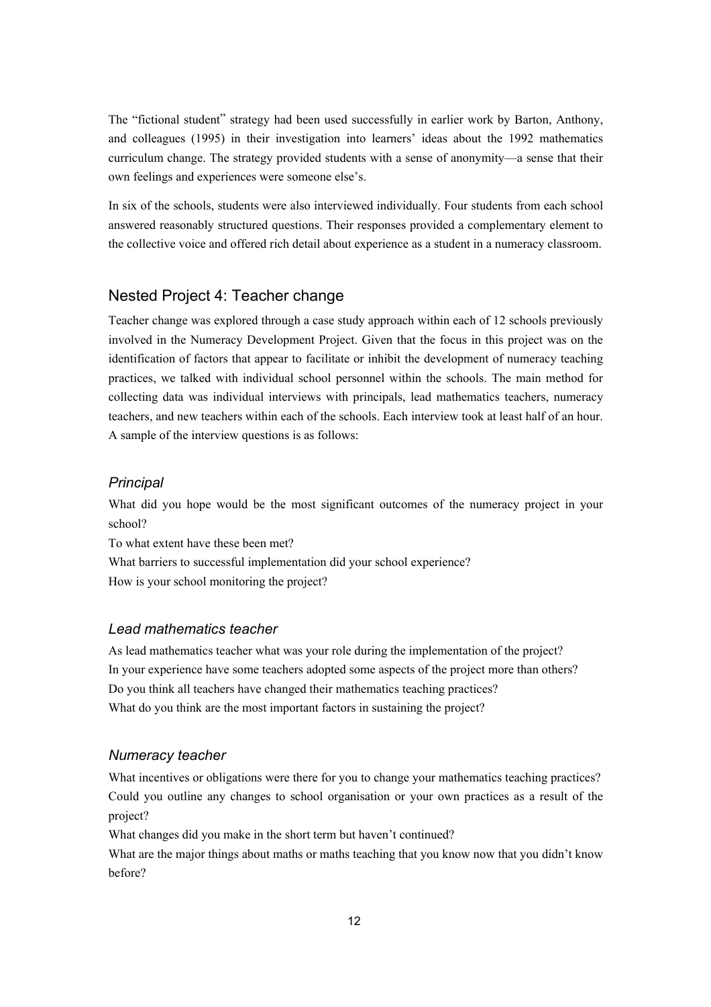The "fictional student" strategy had been used successfully in earlier work by Barton, Anthony, and colleagues (1995) in their investigation into learners' ideas about the 1992 mathematics curriculum change. The strategy provided students with a sense of anonymity—a sense that their own feelings and experiences were someone else's.

In six of the schools, students were also interviewed individually. Four students from each school answered reasonably structured questions. Their responses provided a complementary element to the collective voice and offered rich detail about experience as a student in a numeracy classroom.

### Nested Project 4: Teacher change

Teacher change was explored through a case study approach within each of 12 schools previously involved in the Numeracy Development Project. Given that the focus in this project was on the identification of factors that appear to facilitate or inhibit the development of numeracy teaching practices, we talked with individual school personnel within the schools. The main method for collecting data was individual interviews with principals, lead mathematics teachers, numeracy teachers, and new teachers within each of the schools. Each interview took at least half of an hour. A sample of the interview questions is as follows:

#### *Principal*

What did you hope would be the most significant outcomes of the numeracy project in your school?

To what extent have these been met? What barriers to successful implementation did your school experience? How is your school monitoring the project?

#### *Lead mathematics teacher*

As lead mathematics teacher what was your role during the implementation of the project? In your experience have some teachers adopted some aspects of the project more than others? Do you think all teachers have changed their mathematics teaching practices? What do you think are the most important factors in sustaining the project?

#### *Numeracy teacher*

What incentives or obligations were there for you to change your mathematics teaching practices? Could you outline any changes to school organisation or your own practices as a result of the project?

What changes did you make in the short term but haven't continued?

What are the major things about maths or maths teaching that you know now that you didn't know before?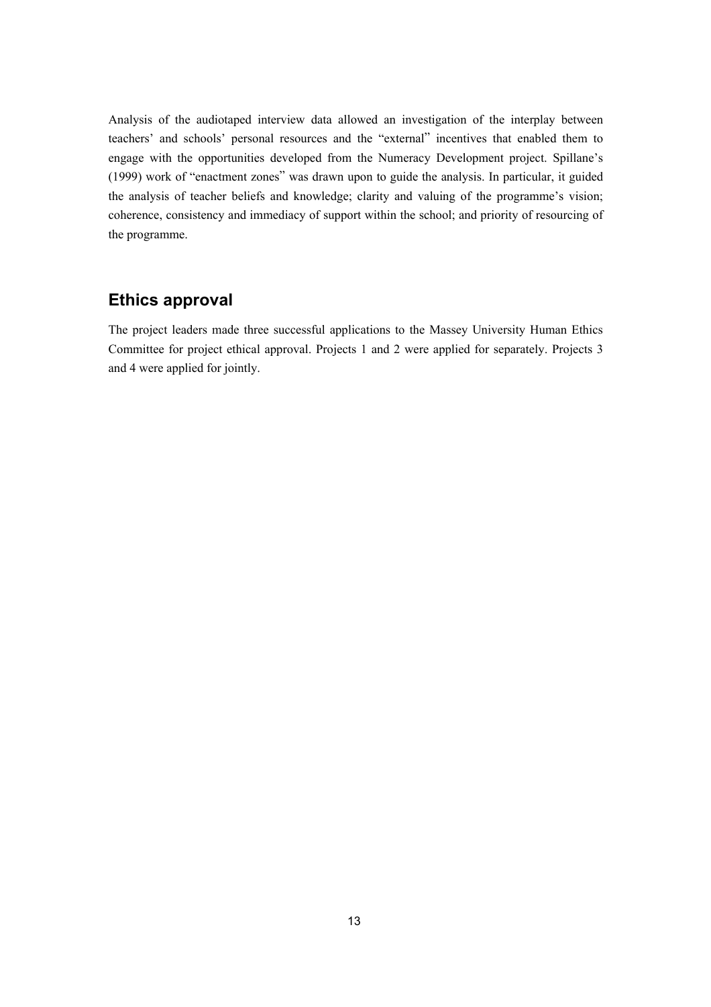Analysis of the audiotaped interview data allowed an investigation of the interplay between teachers' and schools' personal resources and the "external" incentives that enabled them to engage with the opportunities developed from the Numeracy Development project. Spillane's (1999) work of "enactment zones" was drawn upon to guide the analysis. In particular, it guided the analysis of teacher beliefs and knowledge; clarity and valuing of the programme's vision; coherence, consistency and immediacy of support within the school; and priority of resourcing of the programme.

### **Ethics approval**

The project leaders made three successful applications to the Massey University Human Ethics Committee for project ethical approval. Projects 1 and 2 were applied for separately. Projects 3 and 4 were applied for jointly.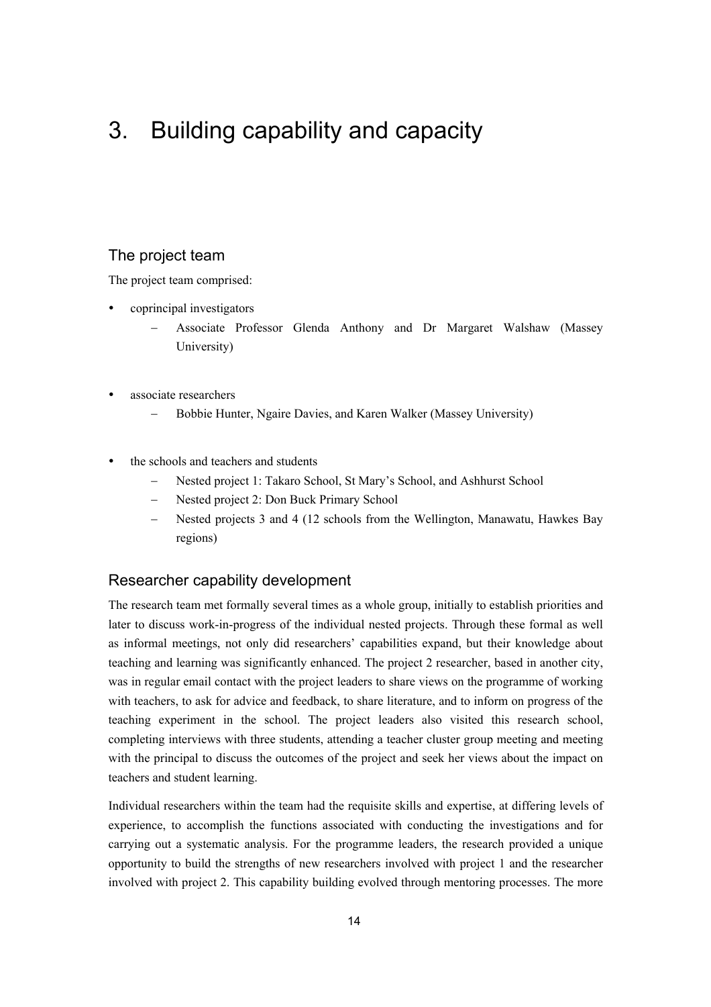# 3. Building capability and capacity

### The project team

The project team comprised:

- coprincipal investigators
	- − Associate Professor Glenda Anthony and Dr Margaret Walshaw (Massey University)
- associate researchers
	- Bobbie Hunter, Ngaire Davies, and Karen Walker (Massey University)
- the schools and teachers and students
	- Nested project 1: Takaro School, St Mary's School, and Ashhurst School
	- − Nested project 2: Don Buck Primary School
	- − Nested projects 3 and 4 (12 schools from the Wellington, Manawatu, Hawkes Bay regions)

### Researcher capability development

The research team met formally several times as a whole group, initially to establish priorities and later to discuss work-in-progress of the individual nested projects. Through these formal as well as informal meetings, not only did researchers' capabilities expand, but their knowledge about teaching and learning was significantly enhanced. The project 2 researcher, based in another city, was in regular email contact with the project leaders to share views on the programme of working with teachers, to ask for advice and feedback, to share literature, and to inform on progress of the teaching experiment in the school. The project leaders also visited this research school, completing interviews with three students, attending a teacher cluster group meeting and meeting with the principal to discuss the outcomes of the project and seek her views about the impact on teachers and student learning.

Individual researchers within the team had the requisite skills and expertise, at differing levels of experience, to accomplish the functions associated with conducting the investigations and for carrying out a systematic analysis. For the programme leaders, the research provided a unique opportunity to build the strengths of new researchers involved with project 1 and the researcher involved with project 2. This capability building evolved through mentoring processes. The more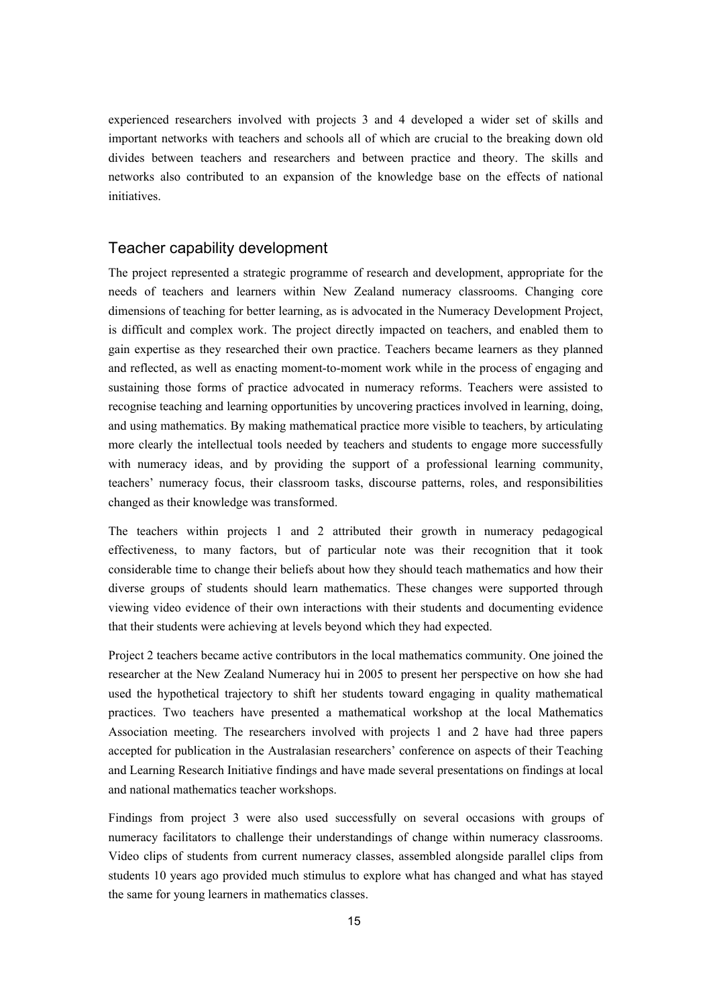experienced researchers involved with projects 3 and 4 developed a wider set of skills and important networks with teachers and schools all of which are crucial to the breaking down old divides between teachers and researchers and between practice and theory. The skills and networks also contributed to an expansion of the knowledge base on the effects of national initiatives.

#### Teacher capability development

The project represented a strategic programme of research and development, appropriate for the needs of teachers and learners within New Zealand numeracy classrooms. Changing core dimensions of teaching for better learning, as is advocated in the Numeracy Development Project, is difficult and complex work. The project directly impacted on teachers, and enabled them to gain expertise as they researched their own practice. Teachers became learners as they planned and reflected, as well as enacting moment-to-moment work while in the process of engaging and sustaining those forms of practice advocated in numeracy reforms. Teachers were assisted to recognise teaching and learning opportunities by uncovering practices involved in learning, doing, and using mathematics. By making mathematical practice more visible to teachers, by articulating more clearly the intellectual tools needed by teachers and students to engage more successfully with numeracy ideas, and by providing the support of a professional learning community, teachers' numeracy focus, their classroom tasks, discourse patterns, roles, and responsibilities changed as their knowledge was transformed.

The teachers within projects 1 and 2 attributed their growth in numeracy pedagogical effectiveness, to many factors, but of particular note was their recognition that it took considerable time to change their beliefs about how they should teach mathematics and how their diverse groups of students should learn mathematics. These changes were supported through viewing video evidence of their own interactions with their students and documenting evidence that their students were achieving at levels beyond which they had expected.

Project 2 teachers became active contributors in the local mathematics community. One joined the researcher at the New Zealand Numeracy hui in 2005 to present her perspective on how she had used the hypothetical trajectory to shift her students toward engaging in quality mathematical practices. Two teachers have presented a mathematical workshop at the local Mathematics Association meeting. The researchers involved with projects 1 and 2 have had three papers accepted for publication in the Australasian researchers' conference on aspects of their Teaching and Learning Research Initiative findings and have made several presentations on findings at local and national mathematics teacher workshops.

Findings from project 3 were also used successfully on several occasions with groups of numeracy facilitators to challenge their understandings of change within numeracy classrooms. Video clips of students from current numeracy classes, assembled alongside parallel clips from students 10 years ago provided much stimulus to explore what has changed and what has stayed the same for young learners in mathematics classes.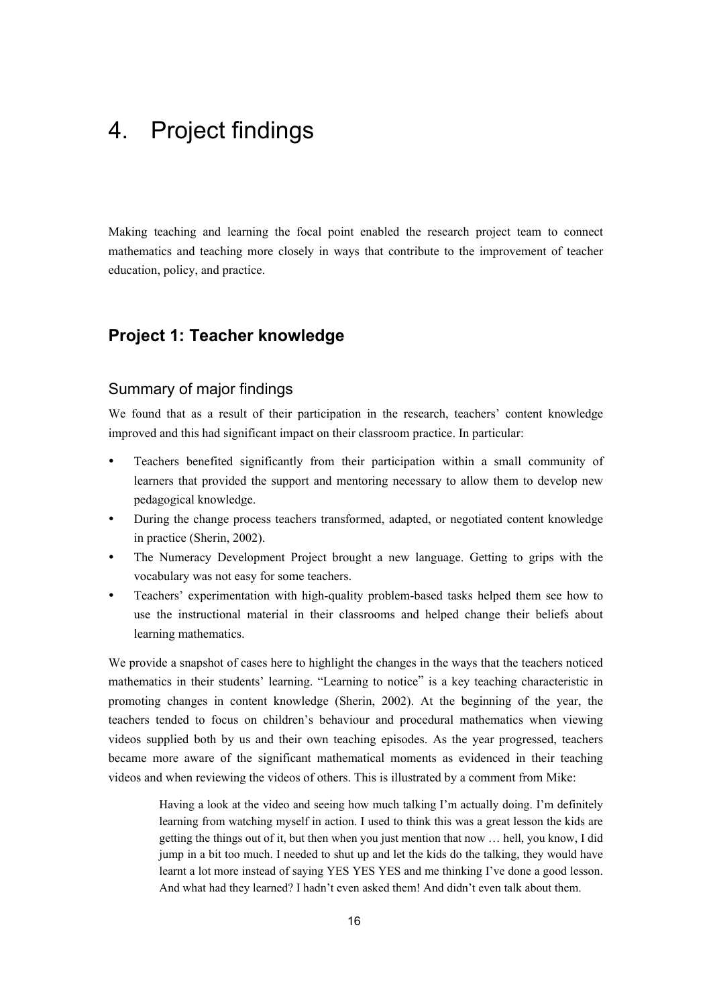# 4. Project findings

Making teaching and learning the focal point enabled the research project team to connect mathematics and teaching more closely in ways that contribute to the improvement of teacher education, policy, and practice.

## **Project 1: Teacher knowledge**

### Summary of major findings

We found that as a result of their participation in the research, teachers' content knowledge improved and this had significant impact on their classroom practice. In particular:

- Teachers benefited significantly from their participation within a small community of learners that provided the support and mentoring necessary to allow them to develop new pedagogical knowledge.
- During the change process teachers transformed, adapted, or negotiated content knowledge in practice (Sherin, 2002).
- The Numeracy Development Project brought a new language. Getting to grips with the vocabulary was not easy for some teachers.
- Teachers' experimentation with high-quality problem-based tasks helped them see how to use the instructional material in their classrooms and helped change their beliefs about learning mathematics.

We provide a snapshot of cases here to highlight the changes in the ways that the teachers noticed mathematics in their students' learning. "Learning to notice" is a key teaching characteristic in promoting changes in content knowledge (Sherin, 2002). At the beginning of the year, the teachers tended to focus on children's behaviour and procedural mathematics when viewing videos supplied both by us and their own teaching episodes. As the year progressed, teachers became more aware of the significant mathematical moments as evidenced in their teaching videos and when reviewing the videos of others. This is illustrated by a comment from Mike:

> Having a look at the video and seeing how much talking I'm actually doing. I'm definitely learning from watching myself in action. I used to think this was a great lesson the kids are getting the things out of it, but then when you just mention that now … hell, you know, I did jump in a bit too much. I needed to shut up and let the kids do the talking, they would have learnt a lot more instead of saying YES YES YES and me thinking I've done a good lesson. And what had they learned? I hadn't even asked them! And didn't even talk about them.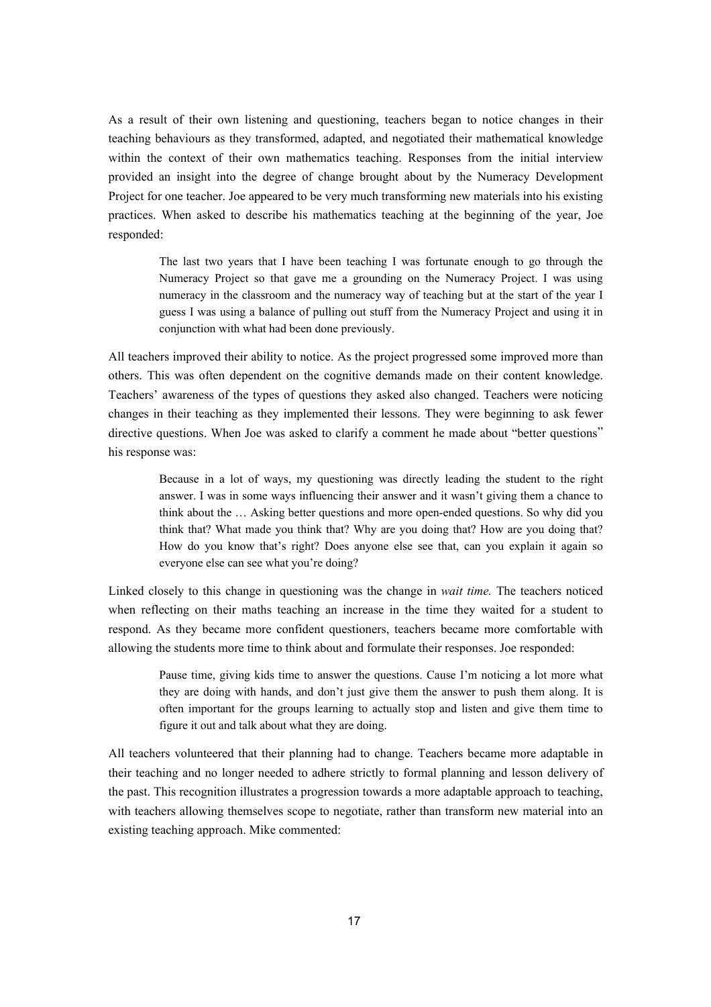As a result of their own listening and questioning, teachers began to notice changes in their teaching behaviours as they transformed, adapted, and negotiated their mathematical knowledge within the context of their own mathematics teaching. Responses from the initial interview provided an insight into the degree of change brought about by the Numeracy Development Project for one teacher. Joe appeared to be very much transforming new materials into his existing practices. When asked to describe his mathematics teaching at the beginning of the year, Joe responded:

> The last two years that I have been teaching I was fortunate enough to go through the Numeracy Project so that gave me a grounding on the Numeracy Project. I was using numeracy in the classroom and the numeracy way of teaching but at the start of the year I guess I was using a balance of pulling out stuff from the Numeracy Project and using it in conjunction with what had been done previously.

All teachers improved their ability to notice. As the project progressed some improved more than others. This was often dependent on the cognitive demands made on their content knowledge. Teachers' awareness of the types of questions they asked also changed. Teachers were noticing changes in their teaching as they implemented their lessons. They were beginning to ask fewer directive questions. When Joe was asked to clarify a comment he made about "better questions" his response was:

> Because in a lot of ways, my questioning was directly leading the student to the right answer. I was in some ways influencing their answer and it wasn't giving them a chance to think about the … Asking better questions and more open-ended questions. So why did you think that? What made you think that? Why are you doing that? How are you doing that? How do you know that's right? Does anyone else see that, can you explain it again so everyone else can see what you're doing?

Linked closely to this change in questioning was the change in *wait time.* The teachers noticed when reflecting on their maths teaching an increase in the time they waited for a student to respond. As they became more confident questioners, teachers became more comfortable with allowing the students more time to think about and formulate their responses. Joe responded:

> Pause time, giving kids time to answer the questions. Cause I'm noticing a lot more what they are doing with hands, and don't just give them the answer to push them along. It is often important for the groups learning to actually stop and listen and give them time to figure it out and talk about what they are doing.

All teachers volunteered that their planning had to change. Teachers became more adaptable in their teaching and no longer needed to adhere strictly to formal planning and lesson delivery of the past. This recognition illustrates a progression towards a more adaptable approach to teaching, with teachers allowing themselves scope to negotiate, rather than transform new material into an existing teaching approach. Mike commented: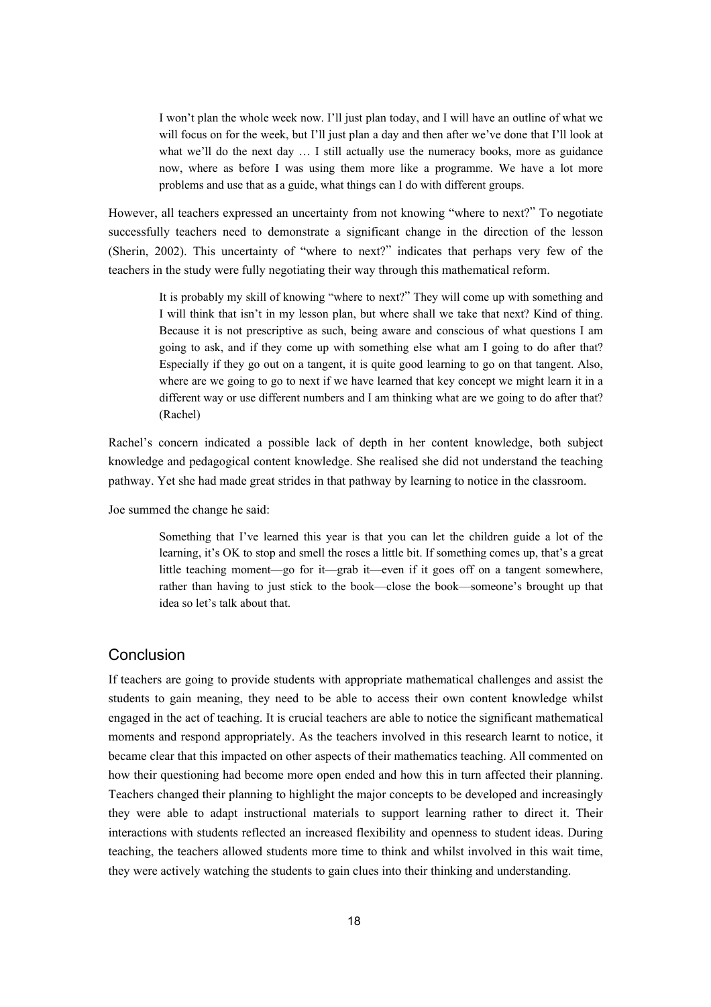I won't plan the whole week now. I'll just plan today, and I will have an outline of what we will focus on for the week, but I'll just plan a day and then after we've done that I'll look at what we'll do the next day ... I still actually use the numeracy books, more as guidance now, where as before I was using them more like a programme. We have a lot more problems and use that as a guide, what things can I do with different groups.

However, all teachers expressed an uncertainty from not knowing "where to next?" To negotiate successfully teachers need to demonstrate a significant change in the direction of the lesson (Sherin, 2002). This uncertainty of "where to next?" indicates that perhaps very few of the teachers in the study were fully negotiating their way through this mathematical reform.

> It is probably my skill of knowing "where to next?" They will come up with something and I will think that isn't in my lesson plan, but where shall we take that next? Kind of thing. Because it is not prescriptive as such, being aware and conscious of what questions I am going to ask, and if they come up with something else what am I going to do after that? Especially if they go out on a tangent, it is quite good learning to go on that tangent. Also, where are we going to go to next if we have learned that key concept we might learn it in a different way or use different numbers and I am thinking what are we going to do after that? (Rachel)

Rachel's concern indicated a possible lack of depth in her content knowledge, both subject knowledge and pedagogical content knowledge. She realised she did not understand the teaching pathway. Yet she had made great strides in that pathway by learning to notice in the classroom.

Joe summed the change he said:

Something that I've learned this year is that you can let the children guide a lot of the learning, it's OK to stop and smell the roses a little bit. If something comes up, that's a great little teaching moment—go for it—grab it—even if it goes off on a tangent somewhere, rather than having to just stick to the book—close the book—someone's brought up that idea so let's talk about that.

#### Conclusion

If teachers are going to provide students with appropriate mathematical challenges and assist the students to gain meaning, they need to be able to access their own content knowledge whilst engaged in the act of teaching. It is crucial teachers are able to notice the significant mathematical moments and respond appropriately. As the teachers involved in this research learnt to notice, it became clear that this impacted on other aspects of their mathematics teaching. All commented on how their questioning had become more open ended and how this in turn affected their planning. Teachers changed their planning to highlight the major concepts to be developed and increasingly they were able to adapt instructional materials to support learning rather to direct it. Their interactions with students reflected an increased flexibility and openness to student ideas. During teaching, the teachers allowed students more time to think and whilst involved in this wait time, they were actively watching the students to gain clues into their thinking and understanding.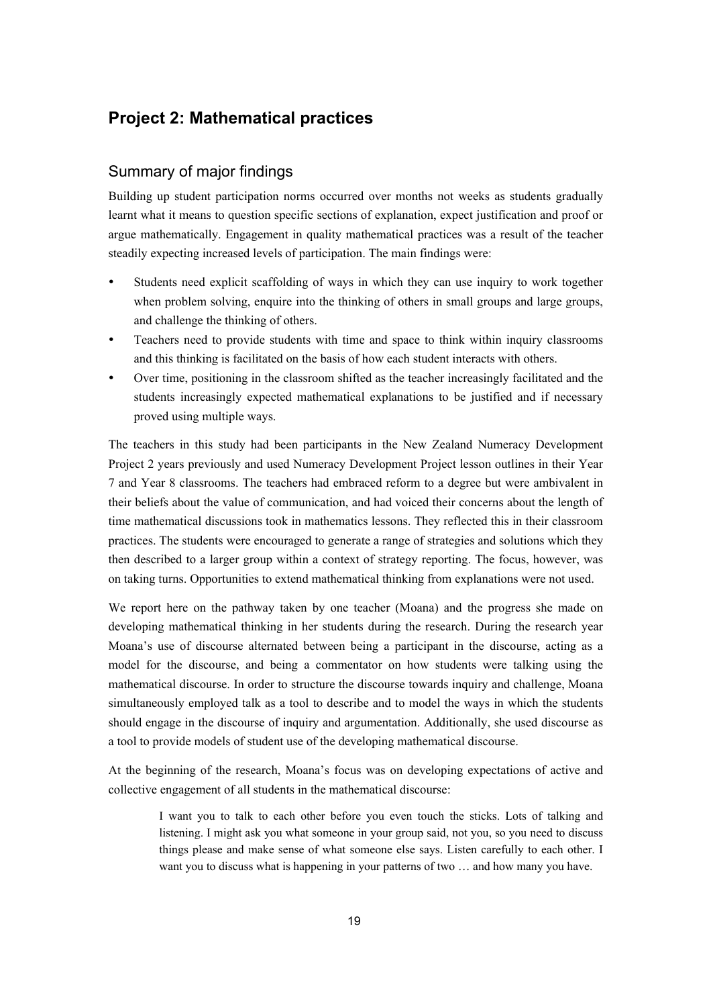### **Project 2: Mathematical practices**

### Summary of major findings

Building up student participation norms occurred over months not weeks as students gradually learnt what it means to question specific sections of explanation, expect justification and proof or argue mathematically. Engagement in quality mathematical practices was a result of the teacher steadily expecting increased levels of participation. The main findings were:

- Students need explicit scaffolding of ways in which they can use inquiry to work together when problem solving, enquire into the thinking of others in small groups and large groups, and challenge the thinking of others.
- Teachers need to provide students with time and space to think within inquiry classrooms and this thinking is facilitated on the basis of how each student interacts with others.
- y Over time, positioning in the classroom shifted as the teacher increasingly facilitated and the students increasingly expected mathematical explanations to be justified and if necessary proved using multiple ways.

The teachers in this study had been participants in the New Zealand Numeracy Development Project 2 years previously and used Numeracy Development Project lesson outlines in their Year 7 and Year 8 classrooms. The teachers had embraced reform to a degree but were ambivalent in their beliefs about the value of communication, and had voiced their concerns about the length of time mathematical discussions took in mathematics lessons. They reflected this in their classroom practices. The students were encouraged to generate a range of strategies and solutions which they then described to a larger group within a context of strategy reporting. The focus, however, was on taking turns. Opportunities to extend mathematical thinking from explanations were not used.

We report here on the pathway taken by one teacher (Moana) and the progress she made on developing mathematical thinking in her students during the research. During the research year Moana's use of discourse alternated between being a participant in the discourse, acting as a model for the discourse, and being a commentator on how students were talking using the mathematical discourse. In order to structure the discourse towards inquiry and challenge, Moana simultaneously employed talk as a tool to describe and to model the ways in which the students should engage in the discourse of inquiry and argumentation. Additionally, she used discourse as a tool to provide models of student use of the developing mathematical discourse.

At the beginning of the research, Moana's focus was on developing expectations of active and collective engagement of all students in the mathematical discourse:

I want you to talk to each other before you even touch the sticks. Lots of talking and listening. I might ask you what someone in your group said, not you, so you need to discuss things please and make sense of what someone else says. Listen carefully to each other. I want you to discuss what is happening in your patterns of two … and how many you have.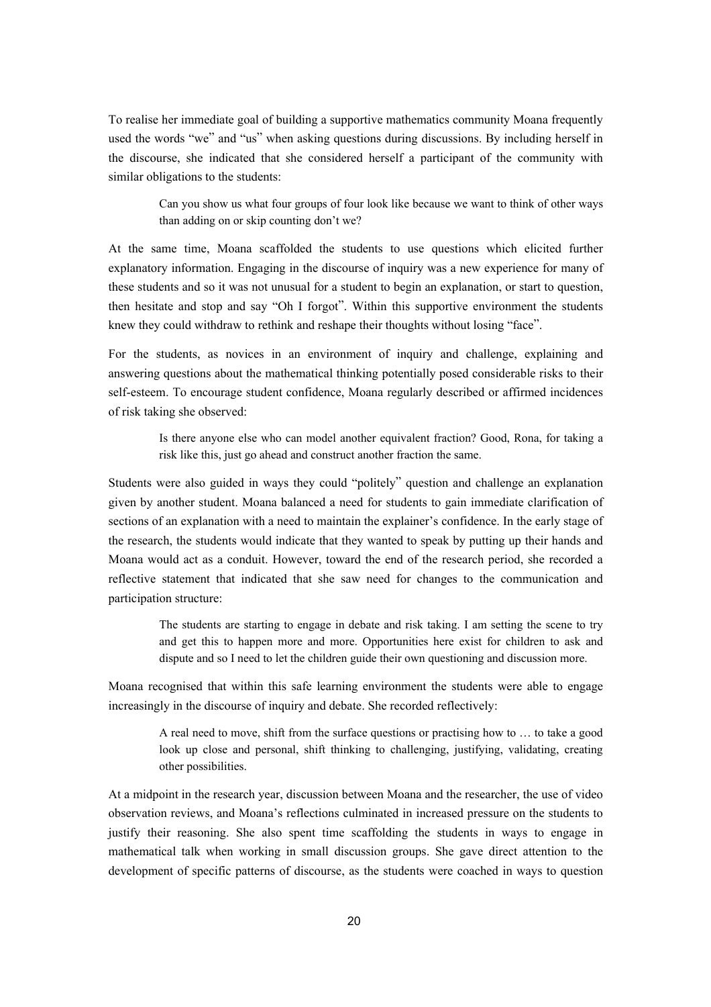To realise her immediate goal of building a supportive mathematics community Moana frequently used the words "we" and "us" when asking questions during discussions. By including herself in the discourse, she indicated that she considered herself a participant of the community with similar obligations to the students:

> Can you show us what four groups of four look like because we want to think of other ways than adding on or skip counting don't we?

At the same time, Moana scaffolded the students to use questions which elicited further explanatory information. Engaging in the discourse of inquiry was a new experience for many of these students and so it was not unusual for a student to begin an explanation, or start to question, then hesitate and stop and say "Oh I forgot". Within this supportive environment the students knew they could withdraw to rethink and reshape their thoughts without losing "face".

For the students, as novices in an environment of inquiry and challenge, explaining and answering questions about the mathematical thinking potentially posed considerable risks to their self-esteem. To encourage student confidence, Moana regularly described or affirmed incidences of risk taking she observed:

> Is there anyone else who can model another equivalent fraction? Good, Rona, for taking a risk like this, just go ahead and construct another fraction the same.

Students were also guided in ways they could "politely" question and challenge an explanation given by another student. Moana balanced a need for students to gain immediate clarification of sections of an explanation with a need to maintain the explainer's confidence. In the early stage of the research, the students would indicate that they wanted to speak by putting up their hands and Moana would act as a conduit. However, toward the end of the research period, she recorded a reflective statement that indicated that she saw need for changes to the communication and participation structure:

> The students are starting to engage in debate and risk taking. I am setting the scene to try and get this to happen more and more. Opportunities here exist for children to ask and dispute and so I need to let the children guide their own questioning and discussion more.

Moana recognised that within this safe learning environment the students were able to engage increasingly in the discourse of inquiry and debate. She recorded reflectively:

> A real need to move, shift from the surface questions or practising how to … to take a good look up close and personal, shift thinking to challenging, justifying, validating, creating other possibilities.

At a midpoint in the research year, discussion between Moana and the researcher, the use of video observation reviews, and Moana's reflections culminated in increased pressure on the students to justify their reasoning. She also spent time scaffolding the students in ways to engage in mathematical talk when working in small discussion groups. She gave direct attention to the development of specific patterns of discourse, as the students were coached in ways to question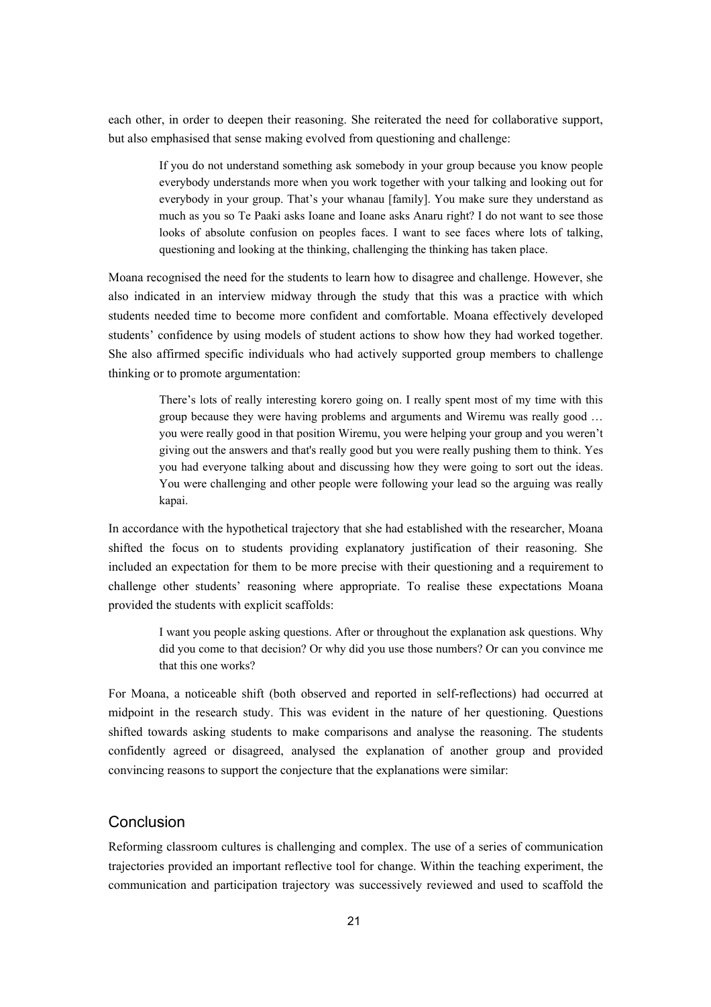each other, in order to deepen their reasoning. She reiterated the need for collaborative support, but also emphasised that sense making evolved from questioning and challenge:

> If you do not understand something ask somebody in your group because you know people everybody understands more when you work together with your talking and looking out for everybody in your group. That's your whanau [family]. You make sure they understand as much as you so Te Paaki asks Ioane and Ioane asks Anaru right? I do not want to see those looks of absolute confusion on peoples faces. I want to see faces where lots of talking, questioning and looking at the thinking, challenging the thinking has taken place.

Moana recognised the need for the students to learn how to disagree and challenge. However, she also indicated in an interview midway through the study that this was a practice with which students needed time to become more confident and comfortable. Moana effectively developed students' confidence by using models of student actions to show how they had worked together. She also affirmed specific individuals who had actively supported group members to challenge thinking or to promote argumentation:

> There's lots of really interesting korero going on. I really spent most of my time with this group because they were having problems and arguments and Wiremu was really good … you were really good in that position Wiremu, you were helping your group and you weren't giving out the answers and that's really good but you were really pushing them to think. Yes you had everyone talking about and discussing how they were going to sort out the ideas. You were challenging and other people were following your lead so the arguing was really kapai.

In accordance with the hypothetical trajectory that she had established with the researcher, Moana shifted the focus on to students providing explanatory justification of their reasoning. She included an expectation for them to be more precise with their questioning and a requirement to challenge other students' reasoning where appropriate. To realise these expectations Moana provided the students with explicit scaffolds:

> I want you people asking questions. After or throughout the explanation ask questions. Why did you come to that decision? Or why did you use those numbers? Or can you convince me that this one works?

For Moana, a noticeable shift (both observed and reported in self-reflections) had occurred at midpoint in the research study. This was evident in the nature of her questioning. Questions shifted towards asking students to make comparisons and analyse the reasoning. The students confidently agreed or disagreed, analysed the explanation of another group and provided convincing reasons to support the conjecture that the explanations were similar:

#### **Conclusion**

Reforming classroom cultures is challenging and complex. The use of a series of communication trajectories provided an important reflective tool for change. Within the teaching experiment, the communication and participation trajectory was successively reviewed and used to scaffold the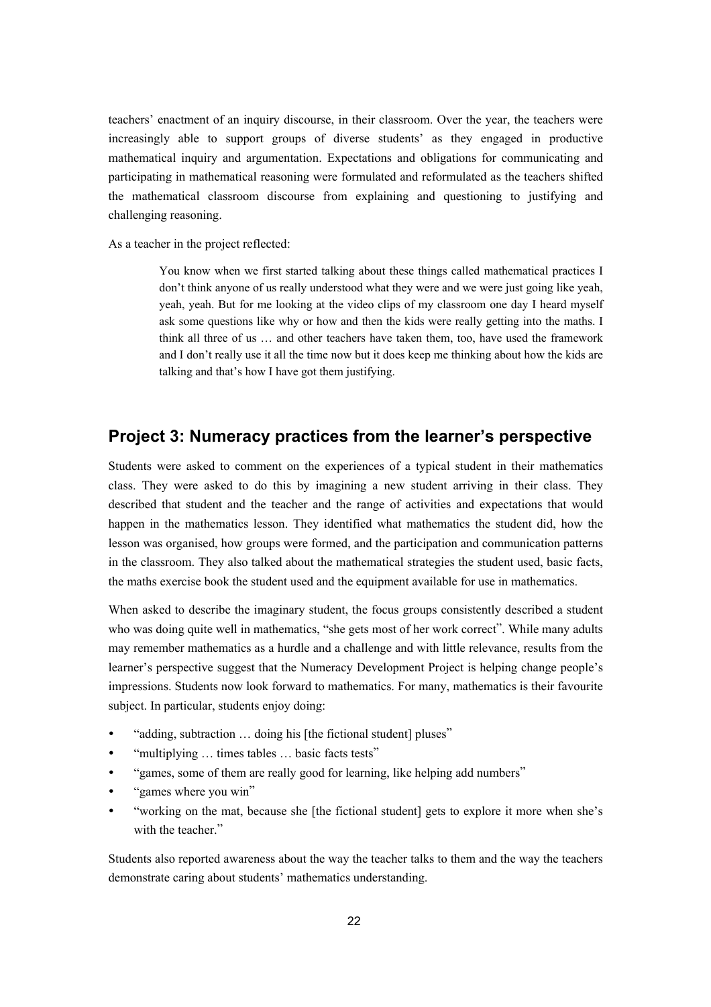teachers' enactment of an inquiry discourse, in their classroom. Over the year, the teachers were increasingly able to support groups of diverse students' as they engaged in productive mathematical inquiry and argumentation. Expectations and obligations for communicating and participating in mathematical reasoning were formulated and reformulated as the teachers shifted the mathematical classroom discourse from explaining and questioning to justifying and challenging reasoning.

As a teacher in the project reflected:

You know when we first started talking about these things called mathematical practices I don't think anyone of us really understood what they were and we were just going like yeah, yeah, yeah. But for me looking at the video clips of my classroom one day I heard myself ask some questions like why or how and then the kids were really getting into the maths. I think all three of us … and other teachers have taken them, too, have used the framework and I don't really use it all the time now but it does keep me thinking about how the kids are talking and that's how I have got them justifying.

### **Project 3: Numeracy practices from the learner's perspective**

Students were asked to comment on the experiences of a typical student in their mathematics class. They were asked to do this by imagining a new student arriving in their class. They described that student and the teacher and the range of activities and expectations that would happen in the mathematics lesson. They identified what mathematics the student did, how the lesson was organised, how groups were formed, and the participation and communication patterns in the classroom. They also talked about the mathematical strategies the student used, basic facts, the maths exercise book the student used and the equipment available for use in mathematics.

When asked to describe the imaginary student, the focus groups consistently described a student who was doing quite well in mathematics, "she gets most of her work correct". While many adults may remember mathematics as a hurdle and a challenge and with little relevance, results from the learner's perspective suggest that the Numeracy Development Project is helping change people's impressions. Students now look forward to mathematics. For many, mathematics is their favourite subject. In particular, students enjoy doing:

- "adding, subtraction ... doing his [the fictional student] pluses"
- "multiplying ... times tables ... basic facts tests"
- "games, some of them are really good for learning, like helping add numbers"
- "games where you win"
- "working on the mat, because she [the fictional student] gets to explore it more when she's with the teacher."

Students also reported awareness about the way the teacher talks to them and the way the teachers demonstrate caring about students' mathematics understanding.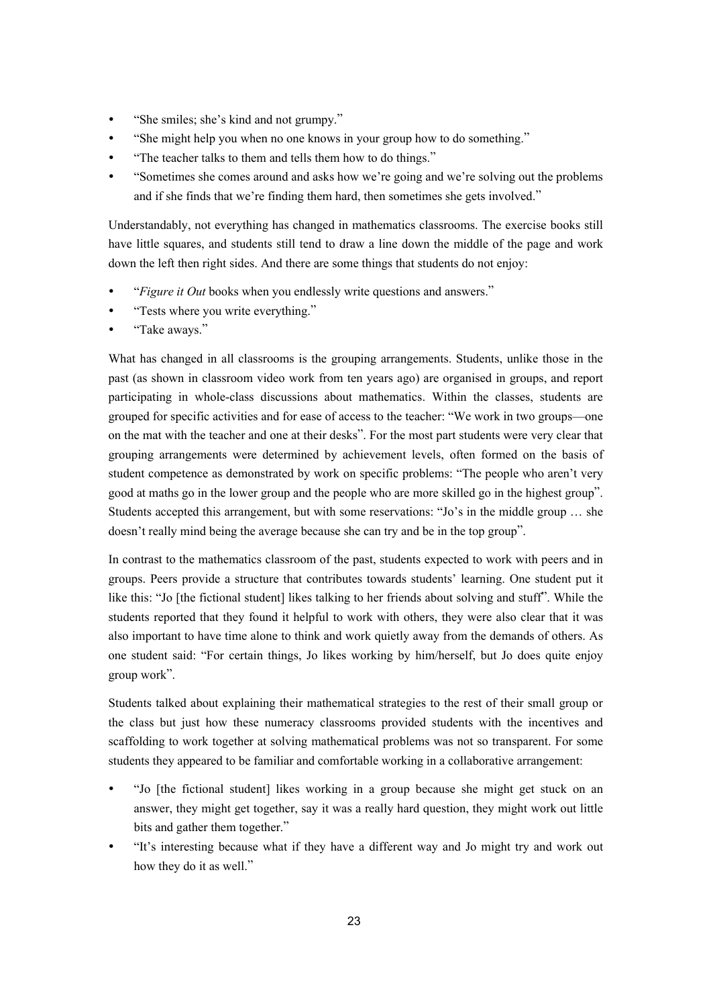- "She smiles; she's kind and not grumpy."
- "She might help you when no one knows in your group how to do something."
- "The teacher talks to them and tells them how to do things."
- "Sometimes she comes around and asks how we're going and we're solving out the problems and if she finds that we're finding them hard, then sometimes she gets involved."

Understandably, not everything has changed in mathematics classrooms. The exercise books still have little squares, and students still tend to draw a line down the middle of the page and work down the left then right sides. And there are some things that students do not enjoy:

- "*Figure it Out* books when you endlessly write questions and answers."
- "Tests where you write everything."
- "Take aways."

What has changed in all classrooms is the grouping arrangements. Students, unlike those in the past (as shown in classroom video work from ten years ago) are organised in groups, and report participating in whole-class discussions about mathematics. Within the classes, students are grouped for specific activities and for ease of access to the teacher: "We work in two groups—one on the mat with the teacher and one at their desks". For the most part students were very clear that grouping arrangements were determined by achievement levels, often formed on the basis of student competence as demonstrated by work on specific problems: "The people who aren't very good at maths go in the lower group and the people who are more skilled go in the highest group". Students accepted this arrangement, but with some reservations: "Jo's in the middle group … she doesn't really mind being the average because she can try and be in the top group".

In contrast to the mathematics classroom of the past, students expected to work with peers and in groups. Peers provide a structure that contributes towards students' learning. One student put it like this: "Jo [the fictional student] likes talking to her friends about solving and stuff". While the students reported that they found it helpful to work with others, they were also clear that it was also important to have time alone to think and work quietly away from the demands of others. As one student said: "For certain things, Jo likes working by him/herself, but Jo does quite enjoy group work".

Students talked about explaining their mathematical strategies to the rest of their small group or the class but just how these numeracy classrooms provided students with the incentives and scaffolding to work together at solving mathematical problems was not so transparent. For some students they appeared to be familiar and comfortable working in a collaborative arrangement:

- y "Jo [the fictional student] likes working in a group because she might get stuck on an answer, they might get together, say it was a really hard question, they might work out little bits and gather them together."
- y "It's interesting because what if they have a different way and Jo might try and work out how they do it as well."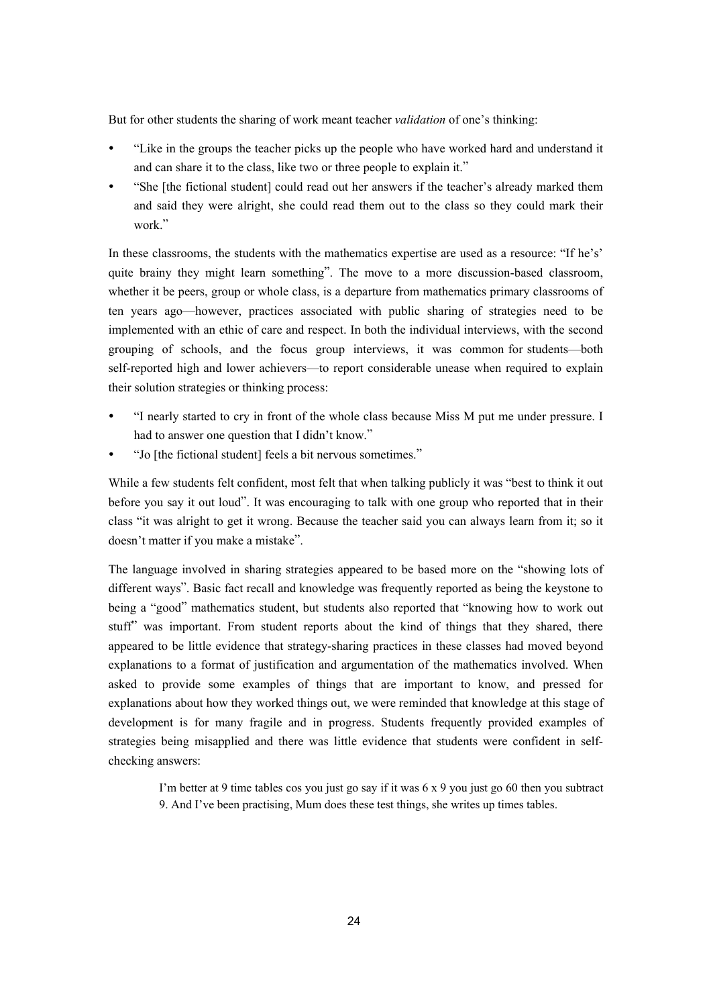But for other students the sharing of work meant teacher *validation* of one's thinking:

- "Like in the groups the teacher picks up the people who have worked hard and understand it and can share it to the class, like two or three people to explain it."
- "She [the fictional student] could read out her answers if the teacher's already marked them and said they were alright, she could read them out to the class so they could mark their work"

In these classrooms, the students with the mathematics expertise are used as a resource: "If he's' quite brainy they might learn something". The move to a more discussion-based classroom, whether it be peers, group or whole class, is a departure from mathematics primary classrooms of ten years ago—however, practices associated with public sharing of strategies need to be implemented with an ethic of care and respect. In both the individual interviews, with the second grouping of schools, and the focus group interviews, it was common for students—both self-reported high and lower achievers—to report considerable unease when required to explain their solution strategies or thinking process:

- y "I nearly started to cry in front of the whole class because Miss M put me under pressure. I had to answer one question that I didn't know."
- "Jo [the fictional student] feels a bit nervous sometimes."

While a few students felt confident, most felt that when talking publicly it was "best to think it out before you say it out loud". It was encouraging to talk with one group who reported that in their class "it was alright to get it wrong. Because the teacher said you can always learn from it; so it doesn't matter if you make a mistake".

The language involved in sharing strategies appeared to be based more on the "showing lots of different ways". Basic fact recall and knowledge was frequently reported as being the keystone to being a "good" mathematics student, but students also reported that "knowing how to work out stuff" was important. From student reports about the kind of things that they shared, there appeared to be little evidence that strategy-sharing practices in these classes had moved beyond explanations to a format of justification and argumentation of the mathematics involved. When asked to provide some examples of things that are important to know, and pressed for explanations about how they worked things out, we were reminded that knowledge at this stage of development is for many fragile and in progress. Students frequently provided examples of strategies being misapplied and there was little evidence that students were confident in selfchecking answers:

> I'm better at 9 time tables cos you just go say if it was 6 x 9 you just go 60 then you subtract 9. And I've been practising, Mum does these test things, she writes up times tables.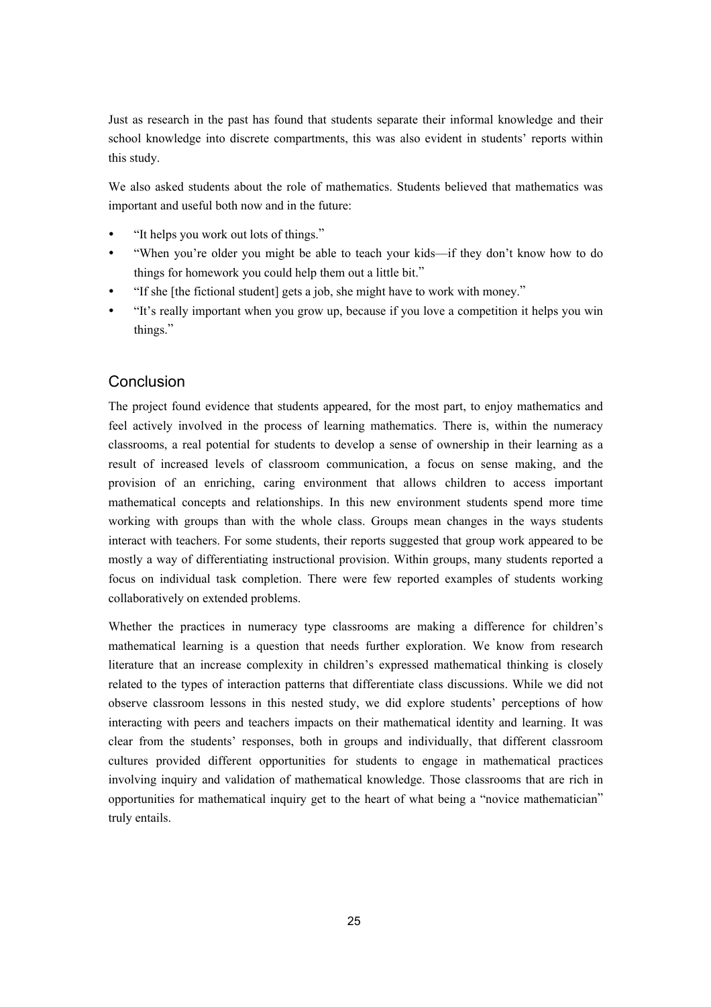Just as research in the past has found that students separate their informal knowledge and their school knowledge into discrete compartments, this was also evident in students' reports within this study.

We also asked students about the role of mathematics. Students believed that mathematics was important and useful both now and in the future:

- "It helps you work out lots of things."
- "When you're older you might be able to teach your kids—if they don't know how to do things for homework you could help them out a little bit."
- "If she [the fictional student] gets a job, she might have to work with money."
- "It's really important when you grow up, because if you love a competition it helps you win things."

### **Conclusion**

The project found evidence that students appeared, for the most part, to enjoy mathematics and feel actively involved in the process of learning mathematics. There is, within the numeracy classrooms, a real potential for students to develop a sense of ownership in their learning as a result of increased levels of classroom communication, a focus on sense making, and the provision of an enriching, caring environment that allows children to access important mathematical concepts and relationships. In this new environment students spend more time working with groups than with the whole class. Groups mean changes in the ways students interact with teachers. For some students, their reports suggested that group work appeared to be mostly a way of differentiating instructional provision. Within groups, many students reported a focus on individual task completion. There were few reported examples of students working collaboratively on extended problems.

Whether the practices in numeracy type classrooms are making a difference for children's mathematical learning is a question that needs further exploration. We know from research literature that an increase complexity in children's expressed mathematical thinking is closely related to the types of interaction patterns that differentiate class discussions. While we did not observe classroom lessons in this nested study, we did explore students' perceptions of how interacting with peers and teachers impacts on their mathematical identity and learning. It was clear from the students' responses, both in groups and individually, that different classroom cultures provided different opportunities for students to engage in mathematical practices involving inquiry and validation of mathematical knowledge. Those classrooms that are rich in opportunities for mathematical inquiry get to the heart of what being a "novice mathematician" truly entails.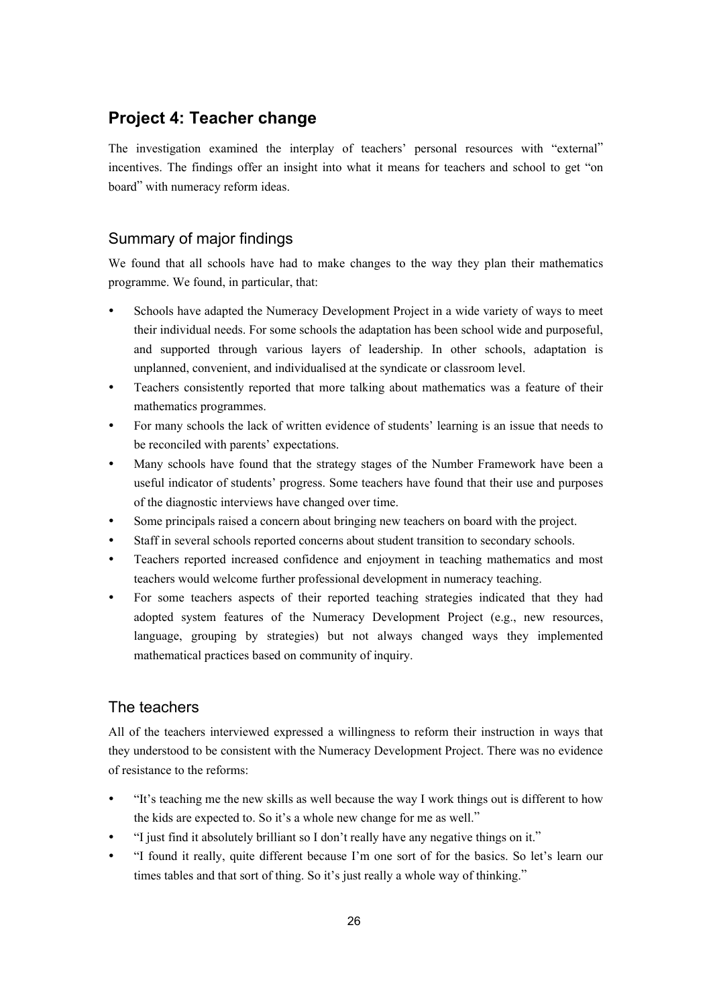### **Project 4: Teacher change**

The investigation examined the interplay of teachers' personal resources with "external" incentives. The findings offer an insight into what it means for teachers and school to get "on board" with numeracy reform ideas.

### Summary of major findings

We found that all schools have had to make changes to the way they plan their mathematics programme. We found, in particular, that:

- Schools have adapted the Numeracy Development Project in a wide variety of ways to meet their individual needs. For some schools the adaptation has been school wide and purposeful, and supported through various layers of leadership. In other schools, adaptation is unplanned, convenient, and individualised at the syndicate or classroom level.
- Teachers consistently reported that more talking about mathematics was a feature of their mathematics programmes.
- For many schools the lack of written evidence of students' learning is an issue that needs to be reconciled with parents' expectations.
- Many schools have found that the strategy stages of the Number Framework have been a useful indicator of students' progress. Some teachers have found that their use and purposes of the diagnostic interviews have changed over time.
- Some principals raised a concern about bringing new teachers on board with the project.
- Staff in several schools reported concerns about student transition to secondary schools.
- Teachers reported increased confidence and enjoyment in teaching mathematics and most teachers would welcome further professional development in numeracy teaching.
- For some teachers aspects of their reported teaching strategies indicated that they had adopted system features of the Numeracy Development Project (e.g., new resources, language, grouping by strategies) but not always changed ways they implemented mathematical practices based on community of inquiry.

### The teachers

All of the teachers interviewed expressed a willingness to reform their instruction in ways that they understood to be consistent with the Numeracy Development Project. There was no evidence of resistance to the reforms:

- y "It's teaching me the new skills as well because the way I work things out is different to how the kids are expected to. So it's a whole new change for me as well."
- "I just find it absolutely brilliant so I don't really have any negative things on it."
- "I found it really, quite different because I'm one sort of for the basics. So let's learn our times tables and that sort of thing. So it's just really a whole way of thinking."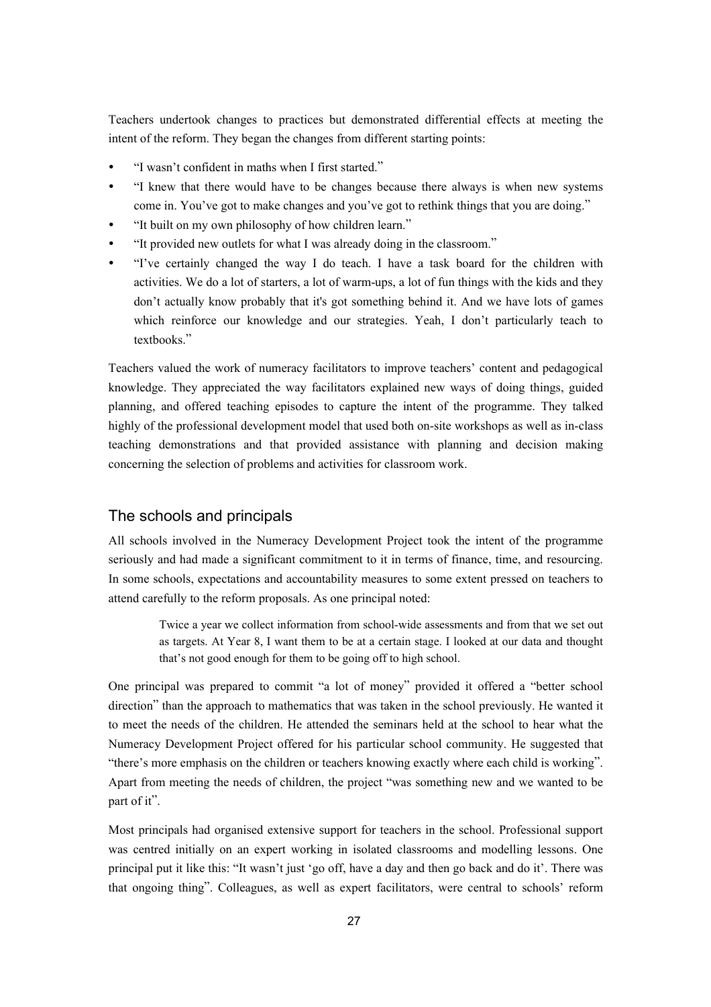Teachers undertook changes to practices but demonstrated differential effects at meeting the intent of the reform. They began the changes from different starting points:

- "I wasn't confident in maths when I first started."
- "I knew that there would have to be changes because there always is when new systems come in. You've got to make changes and you've got to rethink things that you are doing."
- "It built on my own philosophy of how children learn."
- "It provided new outlets for what I was already doing in the classroom."
- "I've certainly changed the way I do teach. I have a task board for the children with activities. We do a lot of starters, a lot of warm-ups, a lot of fun things with the kids and they don't actually know probably that it's got something behind it. And we have lots of games which reinforce our knowledge and our strategies. Yeah, I don't particularly teach to textbooks"

Teachers valued the work of numeracy facilitators to improve teachers' content and pedagogical knowledge. They appreciated the way facilitators explained new ways of doing things, guided planning, and offered teaching episodes to capture the intent of the programme. They talked highly of the professional development model that used both on-site workshops as well as in-class teaching demonstrations and that provided assistance with planning and decision making concerning the selection of problems and activities for classroom work.

### The schools and principals

All schools involved in the Numeracy Development Project took the intent of the programme seriously and had made a significant commitment to it in terms of finance, time, and resourcing. In some schools, expectations and accountability measures to some extent pressed on teachers to attend carefully to the reform proposals. As one principal noted:

> Twice a year we collect information from school-wide assessments and from that we set out as targets. At Year 8, I want them to be at a certain stage. I looked at our data and thought that's not good enough for them to be going off to high school.

One principal was prepared to commit "a lot of money" provided it offered a "better school direction" than the approach to mathematics that was taken in the school previously. He wanted it to meet the needs of the children. He attended the seminars held at the school to hear what the Numeracy Development Project offered for his particular school community. He suggested that "there's more emphasis on the children or teachers knowing exactly where each child is working". Apart from meeting the needs of children, the project "was something new and we wanted to be part of it".

Most principals had organised extensive support for teachers in the school. Professional support was centred initially on an expert working in isolated classrooms and modelling lessons. One principal put it like this: "It wasn't just 'go off, have a day and then go back and do it'. There was that ongoing thing". Colleagues, as well as expert facilitators, were central to schools' reform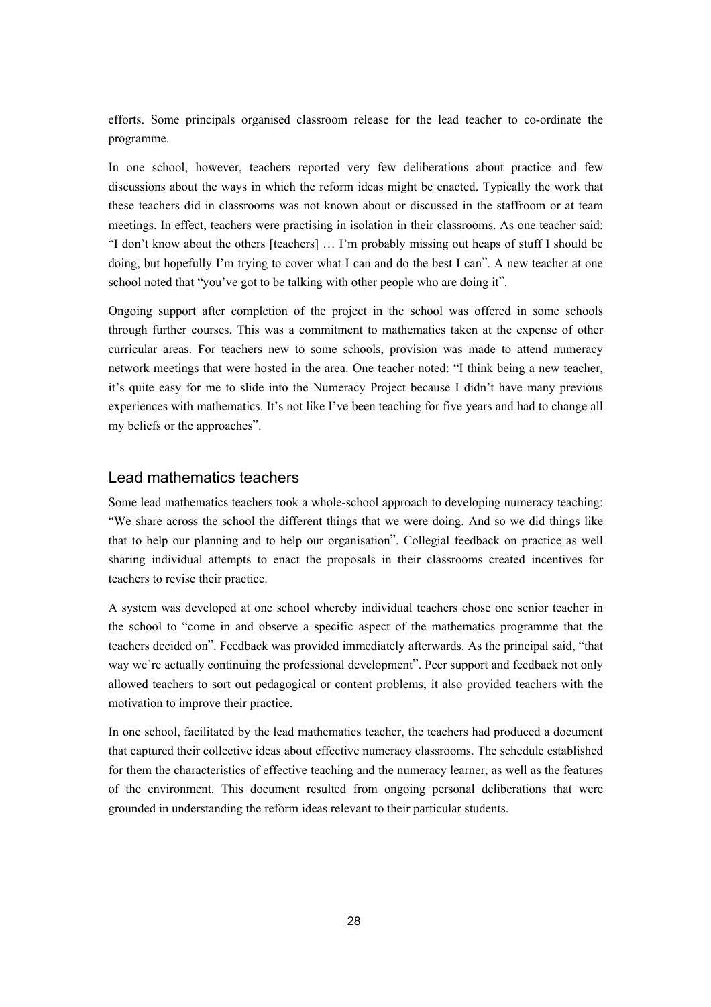efforts. Some principals organised classroom release for the lead teacher to co-ordinate the programme.

In one school, however, teachers reported very few deliberations about practice and few discussions about the ways in which the reform ideas might be enacted. Typically the work that these teachers did in classrooms was not known about or discussed in the staffroom or at team meetings. In effect, teachers were practising in isolation in their classrooms. As one teacher said: "I don't know about the others [teachers] … I'm probably missing out heaps of stuff I should be doing, but hopefully I'm trying to cover what I can and do the best I can". A new teacher at one school noted that "you've got to be talking with other people who are doing it".

Ongoing support after completion of the project in the school was offered in some schools through further courses. This was a commitment to mathematics taken at the expense of other curricular areas. For teachers new to some schools, provision was made to attend numeracy network meetings that were hosted in the area. One teacher noted: "I think being a new teacher, it's quite easy for me to slide into the Numeracy Project because I didn't have many previous experiences with mathematics. It's not like I've been teaching for five years and had to change all my beliefs or the approaches".

### Lead mathematics teachers

Some lead mathematics teachers took a whole-school approach to developing numeracy teaching: "We share across the school the different things that we were doing. And so we did things like that to help our planning and to help our organisation". Collegial feedback on practice as well sharing individual attempts to enact the proposals in their classrooms created incentives for teachers to revise their practice.

A system was developed at one school whereby individual teachers chose one senior teacher in the school to "come in and observe a specific aspect of the mathematics programme that the teachers decided on". Feedback was provided immediately afterwards. As the principal said, "that way we're actually continuing the professional development". Peer support and feedback not only allowed teachers to sort out pedagogical or content problems; it also provided teachers with the motivation to improve their practice.

In one school, facilitated by the lead mathematics teacher, the teachers had produced a document that captured their collective ideas about effective numeracy classrooms. The schedule established for them the characteristics of effective teaching and the numeracy learner, as well as the features of the environment. This document resulted from ongoing personal deliberations that were grounded in understanding the reform ideas relevant to their particular students.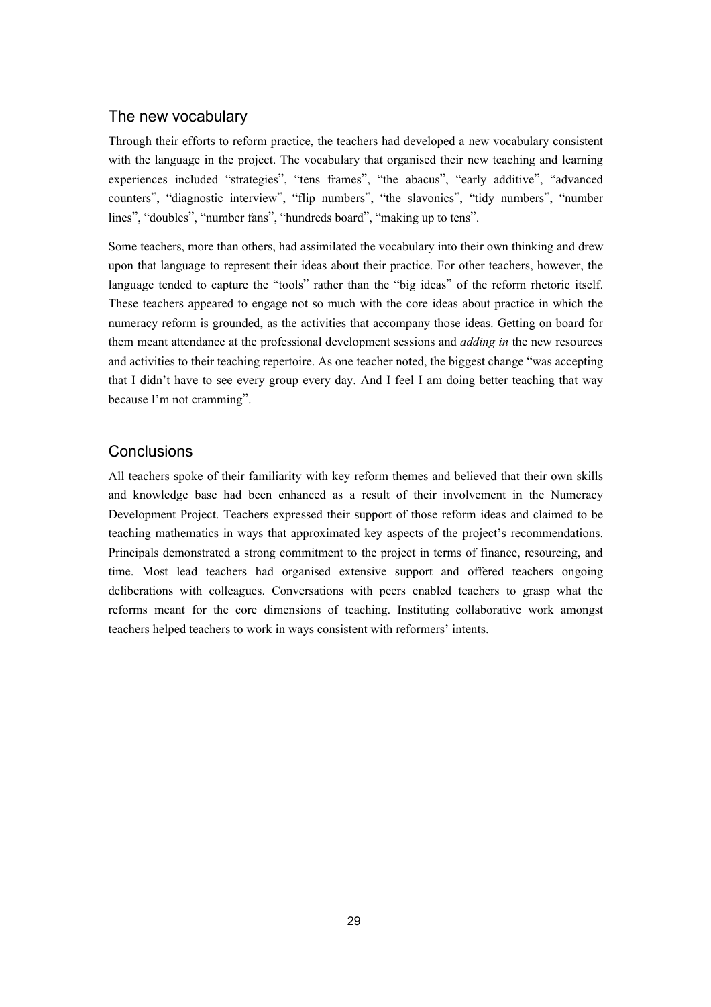#### The new vocabulary

Through their efforts to reform practice, the teachers had developed a new vocabulary consistent with the language in the project. The vocabulary that organised their new teaching and learning experiences included "strategies", "tens frames", "the abacus", "early additive", "advanced counters", "diagnostic interview", "flip numbers", "the slavonics", "tidy numbers", "number lines", "doubles", "number fans", "hundreds board", "making up to tens".

Some teachers, more than others, had assimilated the vocabulary into their own thinking and drew upon that language to represent their ideas about their practice. For other teachers, however, the language tended to capture the "tools" rather than the "big ideas" of the reform rhetoric itself. These teachers appeared to engage not so much with the core ideas about practice in which the numeracy reform is grounded, as the activities that accompany those ideas. Getting on board for them meant attendance at the professional development sessions and *adding in* the new resources and activities to their teaching repertoire. As one teacher noted, the biggest change "was accepting that I didn't have to see every group every day. And I feel I am doing better teaching that way because I'm not cramming".

#### **Conclusions**

All teachers spoke of their familiarity with key reform themes and believed that their own skills and knowledge base had been enhanced as a result of their involvement in the Numeracy Development Project. Teachers expressed their support of those reform ideas and claimed to be teaching mathematics in ways that approximated key aspects of the project's recommendations. Principals demonstrated a strong commitment to the project in terms of finance, resourcing, and time. Most lead teachers had organised extensive support and offered teachers ongoing deliberations with colleagues. Conversations with peers enabled teachers to grasp what the reforms meant for the core dimensions of teaching. Instituting collaborative work amongst teachers helped teachers to work in ways consistent with reformers' intents.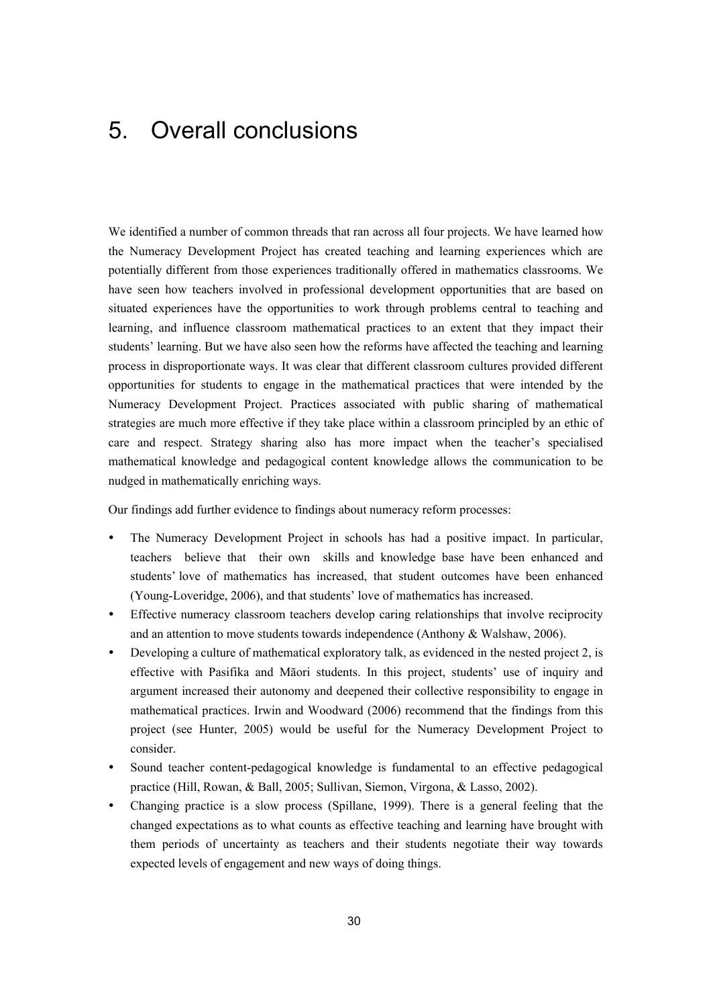# 5. Overall conclusions

We identified a number of common threads that ran across all four projects. We have learned how the Numeracy Development Project has created teaching and learning experiences which are potentially different from those experiences traditionally offered in mathematics classrooms. We have seen how teachers involved in professional development opportunities that are based on situated experiences have the opportunities to work through problems central to teaching and learning, and influence classroom mathematical practices to an extent that they impact their students' learning. But we have also seen how the reforms have affected the teaching and learning process in disproportionate ways. It was clear that different classroom cultures provided different opportunities for students to engage in the mathematical practices that were intended by the Numeracy Development Project. Practices associated with public sharing of mathematical strategies are much more effective if they take place within a classroom principled by an ethic of care and respect. Strategy sharing also has more impact when the teacher's specialised mathematical knowledge and pedagogical content knowledge allows the communication to be nudged in mathematically enriching ways.

Our findings add further evidence to findings about numeracy reform processes:

- The Numeracy Development Project in schools has had a positive impact. In particular, teachers believe that their own skills and knowledge base have been enhanced and students' love of mathematics has increased, that student outcomes have been enhanced (Young-Loveridge, 2006), and that students' love of mathematics has increased.
- Effective numeracy classroom teachers develop caring relationships that involve reciprocity and an attention to move students towards independence (Anthony & Walshaw, 2006).
- Developing a culture of mathematical exploratory talk, as evidenced in the nested project 2, is effective with Pasifika and Māori students. In this project, students' use of inquiry and argument increased their autonomy and deepened their collective responsibility to engage in mathematical practices. Irwin and Woodward (2006) recommend that the findings from this project (see Hunter, 2005) would be useful for the Numeracy Development Project to consider.
- y Sound teacher content-pedagogical knowledge is fundamental to an effective pedagogical practice (Hill, Rowan, & Ball, 2005; Sullivan, Siemon, Virgona, & Lasso, 2002).
- Changing practice is a slow process (Spillane, 1999). There is a general feeling that the changed expectations as to what counts as effective teaching and learning have brought with them periods of uncertainty as teachers and their students negotiate their way towards expected levels of engagement and new ways of doing things.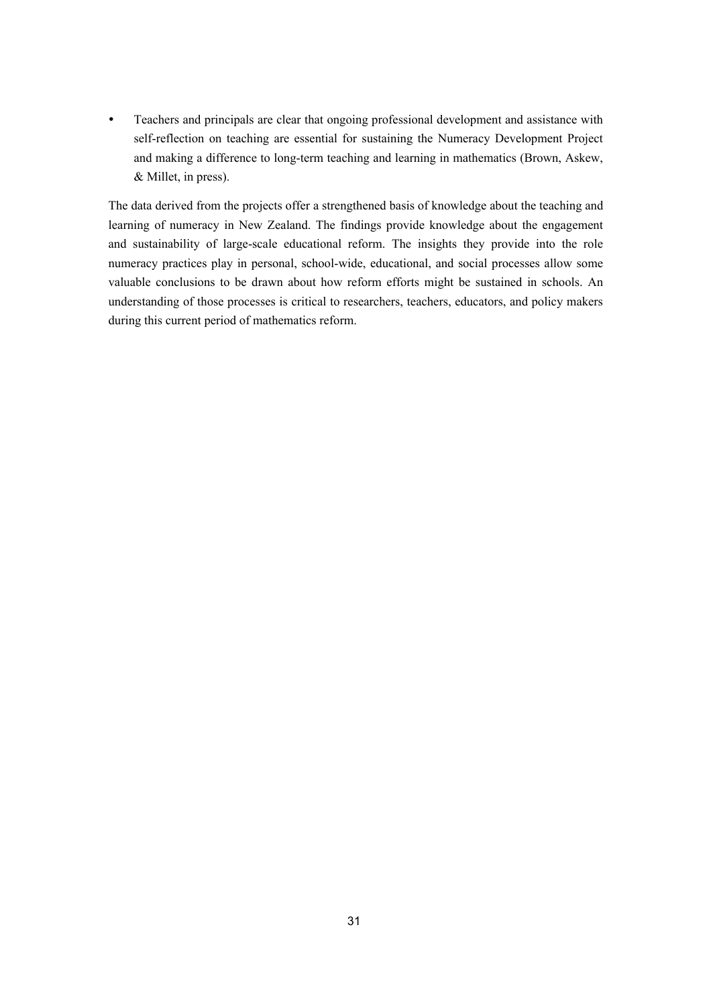• Teachers and principals are clear that ongoing professional development and assistance with self-reflection on teaching are essential for sustaining the Numeracy Development Project and making a difference to long-term teaching and learning in mathematics (Brown, Askew, & Millet, in press).

The data derived from the projects offer a strengthened basis of knowledge about the teaching and learning of numeracy in New Zealand. The findings provide knowledge about the engagement and sustainability of large-scale educational reform. The insights they provide into the role numeracy practices play in personal, school-wide, educational, and social processes allow some valuable conclusions to be drawn about how reform efforts might be sustained in schools. An understanding of those processes is critical to researchers, teachers, educators, and policy makers during this current period of mathematics reform.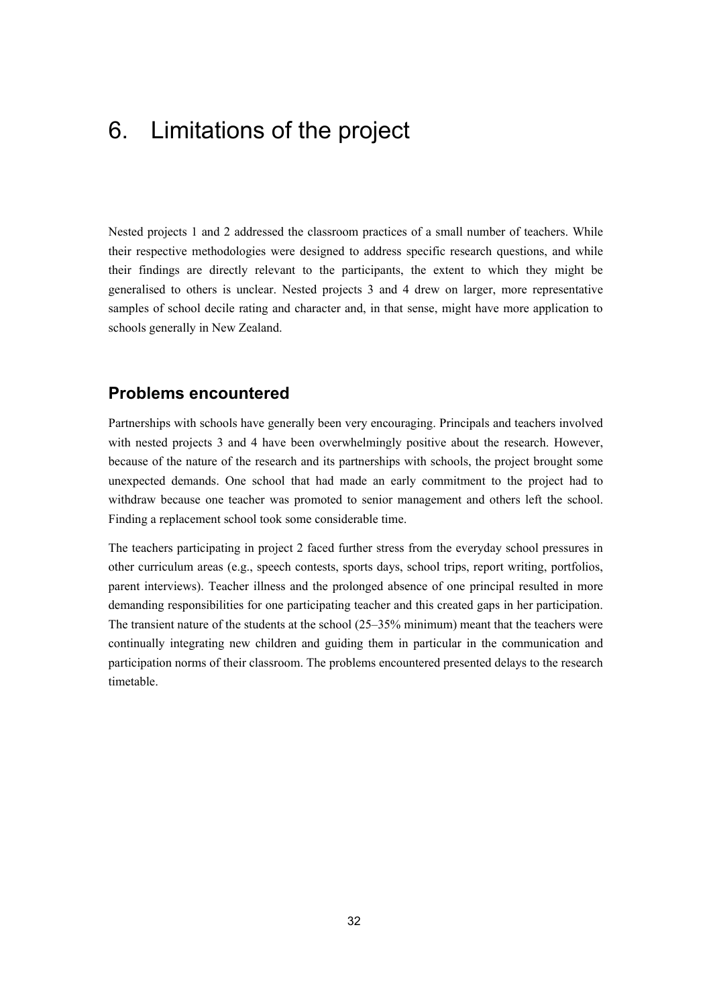# 6. Limitations of the project

Nested projects 1 and 2 addressed the classroom practices of a small number of teachers. While their respective methodologies were designed to address specific research questions, and while their findings are directly relevant to the participants, the extent to which they might be generalised to others is unclear. Nested projects 3 and 4 drew on larger, more representative samples of school decile rating and character and, in that sense, might have more application to schools generally in New Zealand.

### **Problems encountered**

Partnerships with schools have generally been very encouraging. Principals and teachers involved with nested projects 3 and 4 have been overwhelmingly positive about the research. However, because of the nature of the research and its partnerships with schools, the project brought some unexpected demands. One school that had made an early commitment to the project had to withdraw because one teacher was promoted to senior management and others left the school. Finding a replacement school took some considerable time.

The teachers participating in project 2 faced further stress from the everyday school pressures in other curriculum areas (e.g., speech contests, sports days, school trips, report writing, portfolios, parent interviews). Teacher illness and the prolonged absence of one principal resulted in more demanding responsibilities for one participating teacher and this created gaps in her participation. The transient nature of the students at the school (25–35% minimum) meant that the teachers were continually integrating new children and guiding them in particular in the communication and participation norms of their classroom. The problems encountered presented delays to the research timetable.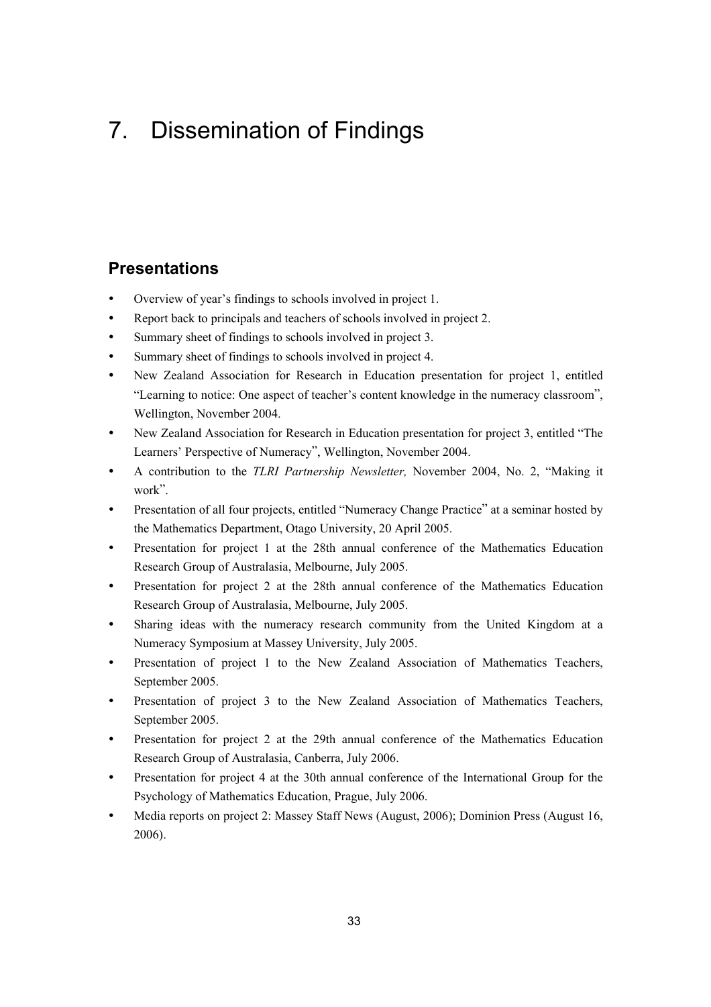# 7. Dissemination of Findings

### **Presentations**

- Overview of year's findings to schools involved in project 1.
- Report back to principals and teachers of schools involved in project 2.
- Summary sheet of findings to schools involved in project 3.
- Summary sheet of findings to schools involved in project 4.
- y New Zealand Association for Research in Education presentation for project 1, entitled "Learning to notice: One aspect of teacher's content knowledge in the numeracy classroom", Wellington, November 2004.
- New Zealand Association for Research in Education presentation for project 3, entitled "The Learners' Perspective of Numeracy", Wellington, November 2004.
- y A contribution to the *TLRI Partnership Newsletter,* November 2004, No. 2, "Making it work".
- Presentation of all four projects, entitled "Numeracy Change Practice" at a seminar hosted by the Mathematics Department, Otago University, 20 April 2005.
- Presentation for project 1 at the 28th annual conference of the Mathematics Education Research Group of Australasia, Melbourne, July 2005.
- Presentation for project 2 at the 28th annual conference of the Mathematics Education Research Group of Australasia, Melbourne, July 2005.
- Sharing ideas with the numeracy research community from the United Kingdom at a Numeracy Symposium at Massey University, July 2005.
- Presentation of project 1 to the New Zealand Association of Mathematics Teachers, September 2005.
- Presentation of project 3 to the New Zealand Association of Mathematics Teachers, September 2005.
- Presentation for project 2 at the 29th annual conference of the Mathematics Education Research Group of Australasia, Canberra, July 2006.
- Presentation for project 4 at the 30th annual conference of the International Group for the Psychology of Mathematics Education, Prague, July 2006.
- y Media reports on project 2: Massey Staff News (August, 2006); Dominion Press (August 16, 2006).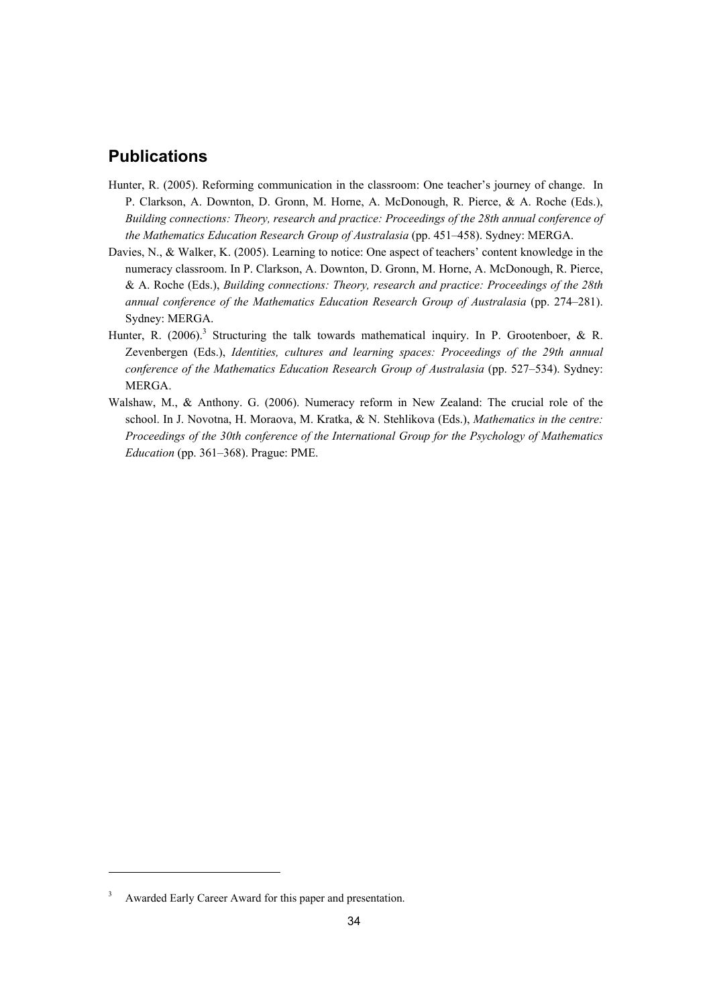### **Publications**

- Hunter, R. (2005). Reforming communication in the classroom: One teacher's journey of change. In P. Clarkson, A. Downton, D. Gronn, M. Horne, A. McDonough, R. Pierce, & A. Roche (Eds.), *Building connections: Theory, research and practice: Proceedings of the 28th annual conference of the Mathematics Education Research Group of Australasia* (pp. 451–458). Sydney: MERGA.
- Davies, N., & Walker, K. (2005). Learning to notice: One aspect of teachers' content knowledge in the numeracy classroom. In P. Clarkson, A. Downton, D. Gronn, M. Horne, A. McDonough, R. Pierce, & A. Roche (Eds.), *Building connections: Theory, research and practice: Proceedings of the 28th annual conference of the Mathematics Education Research Group of Australasia* (pp. 274–281). Sydney: MERGA.
- Hunter, R. (2006).<sup>3</sup> Structuring the talk towards mathematical inquiry. In P. Grootenboer, & R. Zevenbergen (Eds.), *Identities, cultures and learning spaces: Proceedings of the 29th annual conference of the Mathematics Education Research Group of Australasia* (pp. 527–534). Sydney: MERGA.
- Walshaw, M., & Anthony. G. (2006). Numeracy reform in New Zealand: The crucial role of the school. In J. Novotna, H. Moraova, M. Kratka, & N. Stehlikova (Eds.), *Mathematics in the centre: Proceedings of the 30th conference of the International Group for the Psychology of Mathematics Education* (pp. 361–368). Prague: PME.

-

<sup>3</sup> Awarded Early Career Award for this paper and presentation.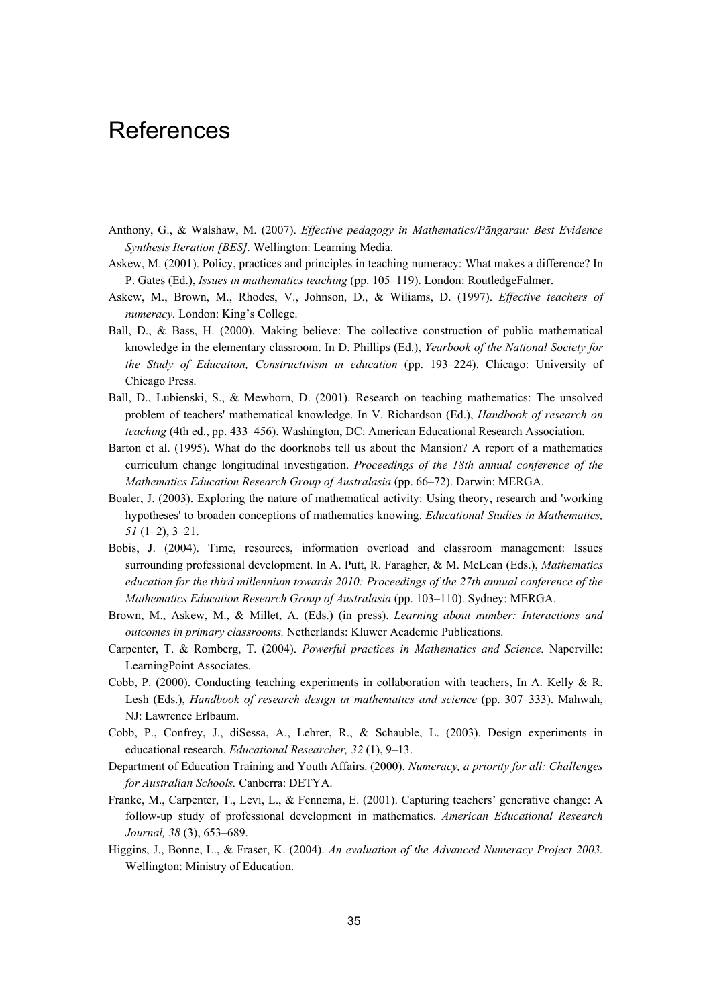## **References**

- Anthony, G., & Walshaw, M. (2007). *Effective pedagogy in Mathematics/Pāngarau: Best Evidence Synthesis Iteration [BES].* Wellington: Learning Media.
- Askew, M. (2001). Policy, practices and principles in teaching numeracy: What makes a difference? In P. Gates (Ed.), *Issues in mathematics teaching* (pp. 105–119). London: RoutledgeFalmer.
- Askew, M., Brown, M., Rhodes, V., Johnson, D., & Wiliams, D. (1997). *Effective teachers of numeracy.* London: King's College.
- Ball, D., & Bass, H. (2000). Making believe: The collective construction of public mathematical knowledge in the elementary classroom. In D. Phillips (Ed.), *Yearbook of the National Society for the Study of Education, Constructivism in education* (pp. 193–224). Chicago: University of Chicago Press.
- Ball, D., Lubienski, S., & Mewborn, D. (2001). Research on teaching mathematics: The unsolved problem of teachers' mathematical knowledge. In V. Richardson (Ed.), *Handbook of research on teaching* (4th ed., pp. 433–456). Washington, DC: American Educational Research Association.
- Barton et al. (1995). What do the doorknobs tell us about the Mansion? A report of a mathematics curriculum change longitudinal investigation. *Proceedings of the 18th annual conference of the Mathematics Education Research Group of Australasia* (pp. 66–72). Darwin: MERGA.
- Boaler, J. (2003). Exploring the nature of mathematical activity: Using theory, research and 'working hypotheses' to broaden conceptions of mathematics knowing. *Educational Studies in Mathematics, 51* (1–2), 3–21.
- Bobis, J. (2004). Time, resources, information overload and classroom management: Issues surrounding professional development. In A. Putt, R. Faragher, & M. McLean (Eds.), *Mathematics education for the third millennium towards 2010: Proceedings of the 27th annual conference of the Mathematics Education Research Group of Australasia* (pp. 103–110). Sydney: MERGA.
- Brown, M., Askew, M., & Millet, A. (Eds.) (in press). *Learning about number: Interactions and outcomes in primary classrooms.* Netherlands: Kluwer Academic Publications.
- Carpenter, T. & Romberg, T. (2004). *Powerful practices in Mathematics and Science.* Naperville: LearningPoint Associates.
- Cobb, P. (2000). Conducting teaching experiments in collaboration with teachers, In A. Kelly & R. Lesh (Eds.), *Handbook of research design in mathematics and science* (pp. 307–333). Mahwah, NJ: Lawrence Erlbaum.
- Cobb, P., Confrey, J., diSessa, A., Lehrer, R., & Schauble, L. (2003). Design experiments in educational research. *Educational Researcher, 32* (1), 9–13.
- Department of Education Training and Youth Affairs. (2000). *Numeracy, a priority for all: Challenges for Australian Schools.* Canberra: DETYA.
- Franke, M., Carpenter, T., Levi, L., & Fennema, E. (2001). Capturing teachers' generative change: A follow-up study of professional development in mathematics. *American Educational Research Journal, 38* (3), 653–689.
- Higgins, J., Bonne, L., & Fraser, K. (2004). *An evaluation of the Advanced Numeracy Project 2003.*  Wellington: Ministry of Education.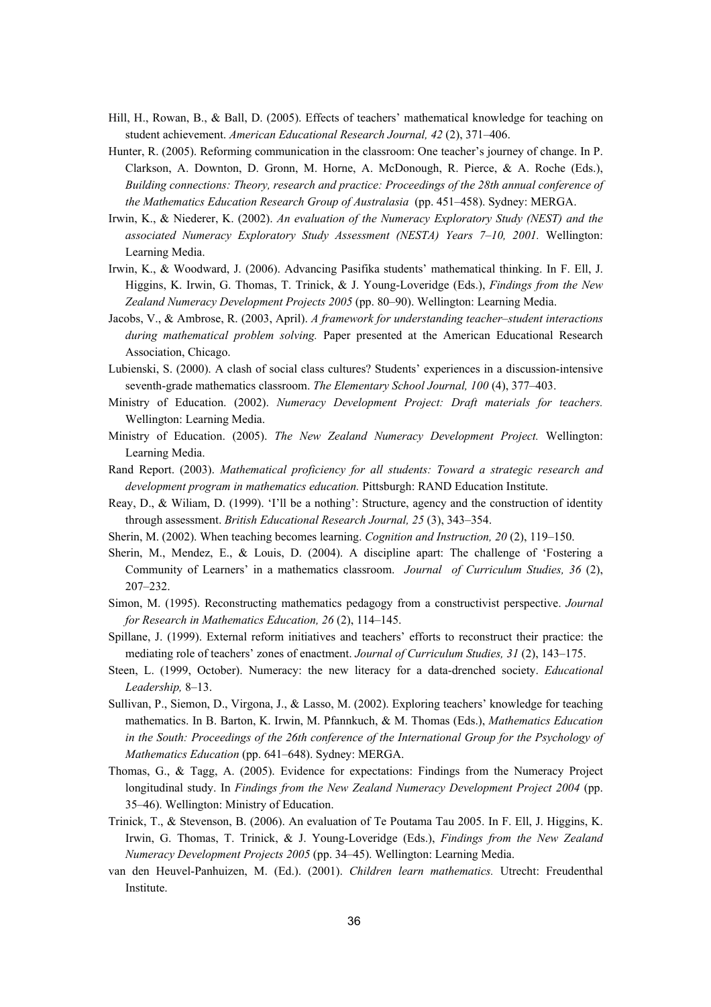- Hill, H., Rowan, B., & Ball, D. (2005). Effects of teachers' mathematical knowledge for teaching on student achievement. *American Educational Research Journal, 42* (2), 371–406.
- Hunter, R. (2005). Reforming communication in the classroom: One teacher's journey of change. In P. Clarkson, A. Downton, D. Gronn, M. Horne, A. McDonough, R. Pierce, & A. Roche (Eds.), *Building connections: Theory, research and practice: Proceedings of the 28th annual conference of the Mathematics Education Research Group of Australasia* (pp. 451–458). Sydney: MERGA.
- Irwin, K., & Niederer, K. (2002). *An evaluation of the Numeracy Exploratory Study (NEST) and the associated Numeracy Exploratory Study Assessment (NESTA) Years 7–10, 2001.* Wellington: Learning Media.
- Irwin, K., & Woodward, J. (2006). Advancing Pasifika students' mathematical thinking. In F. Ell, J. Higgins, K. Irwin, G. Thomas, T. Trinick, & J. Young-Loveridge (Eds.), *Findings from the New Zealand Numeracy Development Projects 2005* (pp. 80–90). Wellington: Learning Media.
- Jacobs, V., & Ambrose, R. (2003, April). *A framework for understanding teacher–student interactions during mathematical problem solving.* Paper presented at the American Educational Research Association, Chicago.
- Lubienski, S. (2000). A clash of social class cultures? Students' experiences in a discussion-intensive seventh-grade mathematics classroom. *The Elementary School Journal, 100* (4), 377–403.
- Ministry of Education. (2002). *Numeracy Development Project: Draft materials for teachers.*  Wellington: Learning Media.
- Ministry of Education. (2005). *The New Zealand Numeracy Development Project.* Wellington: Learning Media.
- Rand Report. (2003). *Mathematical proficiency for all students: Toward a strategic research and development program in mathematics education.* Pittsburgh: RAND Education Institute.
- Reay, D., & Wiliam, D. (1999). 'I'll be a nothing': Structure, agency and the construction of identity through assessment. *British Educational Research Journal, 25* (3), 343–354.
- Sherin, M. (2002). When teaching becomes learning. *Cognition and Instruction, 20* (2), 119–150.
- Sherin, M., Mendez, E., & Louis, D. (2004). A discipline apart: The challenge of 'Fostering a Community of Learners' in a mathematics classroom. *Journal of Curriculum Studies, 36* (2), 207–232.
- Simon, M. (1995). Reconstructing mathematics pedagogy from a constructivist perspective. *Journal for Research in Mathematics Education, 26* (2), 114–145.
- Spillane, J. (1999). External reform initiatives and teachers' efforts to reconstruct their practice: the mediating role of teachers' zones of enactment. *Journal of Curriculum Studies, 31* (2), 143–175.
- Steen, L. (1999, October). Numeracy: the new literacy for a data-drenched society. *Educational Leadership,* 8–13.
- Sullivan, P., Siemon, D., Virgona, J., & Lasso, M. (2002). Exploring teachers' knowledge for teaching mathematics. In B. Barton, K. Irwin, M. Pfannkuch, & M. Thomas (Eds.), *Mathematics Education in the South: Proceedings of the 26th conference of the International Group for the Psychology of Mathematics Education* (pp. 641–648). Sydney: MERGA.
- Thomas, G., & Tagg, A. (2005). Evidence for expectations: Findings from the Numeracy Project longitudinal study. In *Findings from the New Zealand Numeracy Development Project 2004* (pp. 35–46). Wellington: Ministry of Education.
- Trinick, T., & Stevenson, B. (2006). An evaluation of Te Poutama Tau 2005. In F. Ell, J. Higgins, K. Irwin, G. Thomas, T. Trinick, & J. Young-Loveridge (Eds.), *Findings from the New Zealand Numeracy Development Projects 2005* (pp. 34–45). Wellington: Learning Media.
- van den Heuvel-Panhuizen, M. (Ed.). (2001). *Children learn mathematics.* Utrecht: Freudenthal Institute.